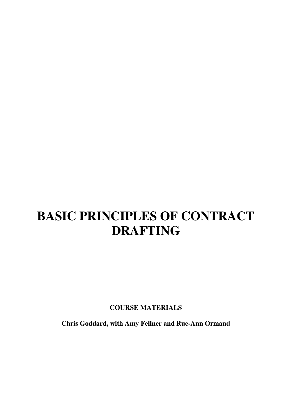# **BASIC PRINCIPLES OF CONTRACT DRAFTING**

**COURSE MATERIALS**

**Chris Goddard, with Amy Fellner and Rue-Ann Ormand**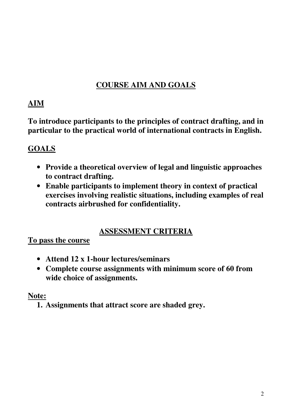# **COURSE AIM AND GOALS**

# **AIM**

**To introduce participants to the principles of contract drafting, and in particular to the practical world of international contracts in English.**

# **GOALS**

- **Provide a theoretical overview of legal and linguistic approaches to contract drafting.**
- **Enable participants to implement theory in context of practical exercises involving realistic situations, including examples of real contracts airbrushed for confidentiality.**

# **ASSESSMENT CRITERIA**

**To pass the course**

- **Attend 12 x 1-hour lectures/seminars**
- **Complete course assignments with minimum score of 60 from wide choice of assignments.**

# **Note:**

**1. Assignments that attract score are shaded grey.**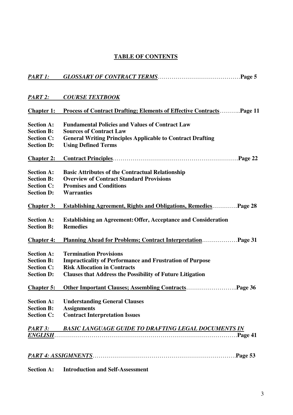# **TABLE OF CONTENTS**

| <i>PART 1:</i>    |                                                                             |  |  |
|-------------------|-----------------------------------------------------------------------------|--|--|
| PART 2:           | <b>COURSE TEXTBOOK</b>                                                      |  |  |
| Chapter 1:        | <b>Process of Contract Drafting; Elements of Effective ContractsPage 11</b> |  |  |
| <b>Section A:</b> | <b>Fundamental Policies and Values of Contract Law</b>                      |  |  |
| <b>Section B:</b> | <b>Sources of Contract Law</b>                                              |  |  |
| <b>Section C:</b> | <b>General Writing Principles Applicable to Contract Drafting</b>           |  |  |
| <b>Section D:</b> | <b>Using Defined Terms</b>                                                  |  |  |
| <b>Chapter 2:</b> |                                                                             |  |  |
| <b>Section A:</b> | <b>Basic Attributes of the Contractual Relationship</b>                     |  |  |
| <b>Section B:</b> | <b>Overview of Contract Standard Provisions</b>                             |  |  |
| <b>Section C:</b> | <b>Promises and Conditions</b>                                              |  |  |
| <b>Section D:</b> | <b>Warranties</b>                                                           |  |  |
| <b>Chapter 3:</b> | <b>Establishing Agreement, Rights and Obligations, RemediesPage 28</b>      |  |  |
| <b>Section A:</b> | <b>Establishing an Agreement: Offer, Acceptance and Consideration</b>       |  |  |
| <b>Section B:</b> | <b>Remedies</b>                                                             |  |  |
| <b>Chapter 4:</b> | Planning Ahead for Problems; Contract InterpretationPage 31                 |  |  |
| <b>Section A:</b> | <b>Termination Provisions</b>                                               |  |  |
| <b>Section B:</b> | <b>Impracticality of Performance and Frustration of Purpose</b>             |  |  |
| <b>Section C:</b> | <b>Risk Allocation in Contracts</b>                                         |  |  |
| <b>Section D:</b> | <b>Clauses that Address the Possibility of Future Litigation</b>            |  |  |
| <u>Chapter 5:</u> |                                                                             |  |  |
| <b>Section A:</b> | <b>Understanding General Clauses</b>                                        |  |  |
| <b>Section B:</b> | <b>Assignments</b>                                                          |  |  |
| <b>Section C:</b> | <b>Contract Interpretation Issues</b>                                       |  |  |
| PART 3:           | <u>BASIC LANGUAGE GUIDE TO DRAFTING LEGAL DOCUMENTS IN</u>                  |  |  |
| <u>ENGLISH</u> .  |                                                                             |  |  |
|                   |                                                                             |  |  |
|                   | Page 53                                                                     |  |  |
|                   |                                                                             |  |  |

**Section A: Introduction and Self-Assessment**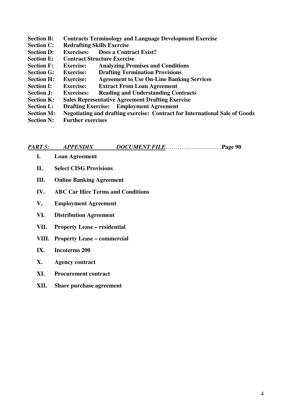**Section B: Contracts Terminology and Language Development Exercise Section C: Redrafting Skills Exercise Section D: Exercises: Does a Contract Exist? Section E: Contract Structure Exercise Section F: Exercise: Analyzing Promises and Conditions Section G: Exercise: Drafting Termination Provisions Section H: Exercise: Agreement to Use On-Line Banking Services Section I: Exercise: Extract From Loan Agreement Section J: Exercises: Reading and Understanding Contracts Section K: Sales Representative Agreement Drafting Exercise Section L: Drafting Exercise: Employment Agreement Section M: Negotiating and drafting exercise: Contract for International Sale of Goods Section N: Further exercises**

| PART 5: | <b>APPENDIX</b> | DOCUMENT FILEPage 90 |  |
|---------|-----------------|----------------------|--|
|---------|-----------------|----------------------|--|

- **I. Loan Agreement**
- **II. Select CISG Provisions**
- **III. Online Banking Agreement**
- **IV. ABC Car Hire Terms and Conditions**
- **V. Employment Agreement**
- **VI. Distribution Agreement**
- **VII. Property Lease – residential**
- **VIII. Property Lease – commercial**
- **IX. Incoterms 200**
- **X. Agency contract**
- **XI. Procurement contract**
- **XII. Share purchase agreement**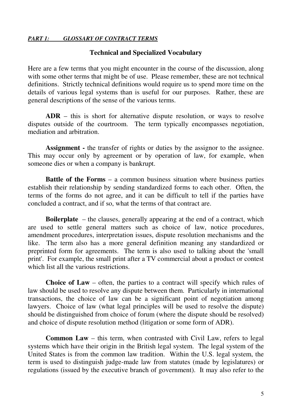#### **Technical and Specialized Vocabulary**

Here are a few terms that you might encounter in the course of the discussion, along with some other terms that might be of use. Please remember, these are not technical definitions. Strictly technical definitions would require us to spend more time on the details of various legal systems than is useful for our purposes. Rather, these are general descriptions of the sense of the various terms.

**ADR** – this is short for alternative dispute resolution, or ways to resolve disputes outside of the courtroom. The term typically encompasses negotiation, mediation and arbitration.

**Assignment -** the transfer of rights or duties by the assignor to the assignee. This may occur only by agreement or by operation of law, for example, when someone dies or when a company is bankrupt.

**Battle of the Forms** – a common business situation where business parties establish their relationship by sending standardized forms to each other. Often, the terms of the forms do not agree, and it can be difficult to tell if the parties have concluded a contract, and if so, what the terms of that contract are.

**Boilerplate** – the clauses, generally appearing at the end of a contract, which are used to settle general matters such as choice of law, notice procedures, amendment procedures, interpretation issues, dispute resolution mechanisms and the like. The term also has a more general definition meaning any standardized or preprinted form for agreements. The term is also used to talking about the 'small print'. For example, the small print after a TV commercial about a product or contest which list all the various restrictions.

**Choice of Law** – often, the parties to a contract will specify which rules of law should be used to resolve any dispute between them. Particularly in international transactions, the choice of law can be a significant point of negotiation among lawyers. Choice of law (what legal principles will be used to resolve the dispute) should be distinguished from choice of forum (where the dispute should be resolved) and choice of dispute resolution method (litigation or some form of ADR).

**Common Law** – this term, when contrasted with Civil Law, refers to legal systems which have their origin in the British legal system. The legal system of the United States is from the common law tradition. Within the U.S. legal system, the term is used to distinguish judge-made law from statutes (made by legislatures) or regulations (issued by the executive branch of government). It may also refer to the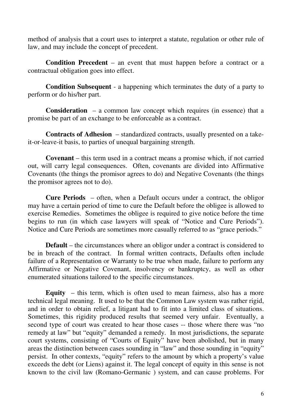method of analysis that a court uses to interpret a statute, regulation or other rule of law, and may include the concept of precedent.

**Condition Precedent** – an event that must happen before a contract or a contractual obligation goes into effect.

**Condition Subsequent** - a happening which terminates the duty of a party to perform or do his/her part.

**Consideration** – a common law concept which requires (in essence) that a promise be part of an exchange to be enforceable as a contract.

**Contracts of Adhesion** – standardized contracts, usually presented on a takeit-or-leave-it basis, to parties of unequal bargaining strength.

**Covenant** – this term used in a contract means a promise which, if not carried out, will carry legal consequences. Often, covenants are divided into Affirmative Covenants (the things the promisor agrees to do) and Negative Covenants (the things the promisor agrees not to do).

**Cure Periods** – often, when a Default occurs under a contract, the obligor may have a certain period of time to cure the Default before the obligee is allowed to exercise Remedies. Sometimes the obligee is required to give notice before the time begins to run (in which case lawyers will speak of "Notice and Cure Periods"). Notice and Cure Periods are sometimes more casually referred to as "grace periods."

**Default** – the circumstances where an obligor under a contract is considered to be in breach of the contract. In formal written contracts, Defaults often include failure of a Representation or Warranty to be true when made, failure to perform any Affirmative or Negative Covenant, insolvency or bankruptcy, as well as other enumerated situations tailored to the specific circumstances.

**Equity** – this term, which is often used to mean fairness, also has a more technical legal meaning. It used to be that the Common Law system was rather rigid, and in order to obtain relief, a litigant had to fit into a limited class of situations. Sometimes, this rigidity produced results that seemed very unfair. Eventually, a second type of court was created to hear those cases -- those where there was "no remedy at law" but "equity" demanded a remedy. In most jurisdictions, the separate court systems, consisting of "Courts of Equity" have been abolished, but in many areas the distinction between cases sounding in "law" and those sounding in "equity" persist. In other contexts, "equity" refers to the amount by which a property's value exceeds the debt (or Liens) against it. The legal concept of equity in this sense is not known to the civil law (Romano-Germanic ) system, and can cause problems. For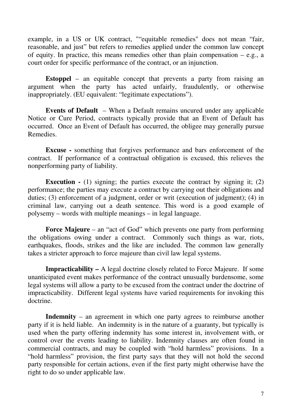example, in a US or UK contract, ""equitable remedies" does not mean "fair, reasonable, and just" but refers to remedies applied under the common law concept of equity. In practice, this means remedies other than plain compensation  $-$  e.g., a court order for specific performance of the contract, or an injunction.

**Estoppel** – an equitable concept that prevents a party from raising an argument when the party has acted unfairly, fraudulently, or otherwise inappropriately. (EU equivalent: "legitimate expectations").

**Events of Default** – When a Default remains uncured under any applicable Notice or Cure Period, contracts typically provide that an Event of Default has occurred. Once an Event of Default has occurred, the obligee may generally pursue Remedies.

**Excuse -** something that forgives performance and bars enforcement of the contract. If performance of a contractual obligation is excused, this relieves the nonperforming party of liability.

**Execution -** (1) signing; the parties execute the contract by signing it; (2) performance; the parties may execute a contract by carrying out their obligations and duties; (3) enforcement of a judgment, order or writ (execution of judgment); (4) in criminal law, carrying out a death sentence. This word is a good example of polysemy – words with multiple meanings – in legal language.

**Force Majeure** – an "act of God" which prevents one party from performing the obligations owing under a contract. Commonly such things as war, riots, earthquakes, floods, strikes and the like are included. The common law generally takes a stricter approach to force majeure than civil law legal systems.

**Impracticability –** A legal doctrine closely related to Force Majeure. If some unanticipated event makes performance of the contract unusually burdensome, some legal systems will allow a party to be excused from the contract under the doctrine of impracticability. Different legal systems have varied requirements for invoking this doctrine.

**Indemnity** – an agreement in which one party agrees to reimburse another party if it is held liable. An indemnity is in the nature of a guaranty, but typically is used when the party offering indemnity has some interest in, involvement with, or control over the events leading to liability. Indemnity clauses are often found in commercial contracts, and may be coupled with "hold harmless" provisions. In a "hold harmless" provision, the first party says that they will not hold the second party responsible for certain actions, even if the first party might otherwise have the right to do so under applicable law.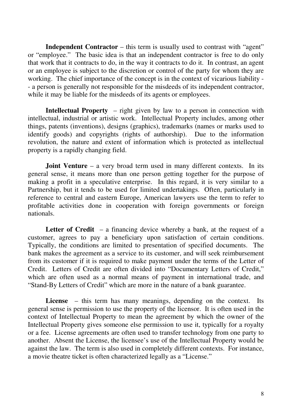**Independent Contractor** – this term is usually used to contrast with "agent" or "employee." The basic idea is that an independent contractor is free to do only that work that it contracts to do, in the way it contracts to do it. In contrast, an agent or an employee is subject to the discretion or control of the party for whom they are working. The chief importance of the concept is in the context of vicarious liability - - a person is generally not responsible for the misdeeds of its independent contractor, while it may be liable for the misdeeds of its agents or employees.

**Intellectual Property** – right given by law to a person in connection with intellectual, industrial or artistic work. Intellectual Property includes, among other things, patents (inventions), designs (graphics), trademarks (names or marks used to identify goods) and copyrights (rights of authorship). Due to the information revolution, the nature and extent of information which is protected as intellectual property is a rapidly changing field.

**Joint Venture** – a very broad term used in many different contexts. In its general sense, it means more than one person getting together for the purpose of making a profit in a speculative enterprise. In this regard, it is very similar to a Partnership, but it tends to be used for limited undertakings. Often, particularly in reference to central and eastern Europe, American lawyers use the term to refer to profitable activities done in cooperation with foreign governments or foreign nationals.

**Letter of Credit** – a financing device whereby a bank, at the request of a customer, agrees to pay a beneficiary upon satisfaction of certain conditions. Typically, the conditions are limited to presentation of specified documents. The bank makes the agreement as a service to its customer, and will seek reimbursement from its customer if it is required to make payment under the terms of the Letter of Credit. Letters of Credit are often divided into "Documentary Letters of Credit," which are often used as a normal means of payment in international trade, and "Stand-By Letters of Credit" which are more in the nature of a bank guarantee.

License – this term has many meanings, depending on the context. Its general sense is permission to use the property of the licensor. It is often used in the context of Intellectual Property to mean the agreement by which the owner of the Intellectual Property gives someone else permission to use it, typically for a royalty or a fee. License agreements are often used to transfer technology from one party to another. Absent the License, the licensee's use of the Intellectual Property would be against the law. The term is also used in completely different contexts. For instance, a movie theatre ticket is often characterized legally as a "License."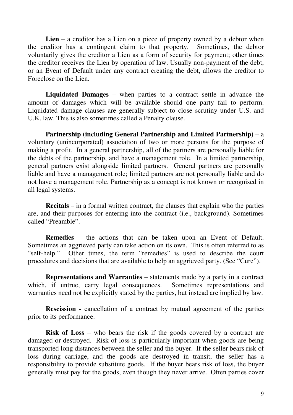**Lien** – a creditor has a Lien on a piece of property owned by a debtor when the creditor has a contingent claim to that property. Sometimes, the debtor voluntarily gives the creditor a Lien as a form of security for payment; other times the creditor receives the Lien by operation of law. Usually non-payment of the debt, or an Event of Default under any contract creating the debt, allows the creditor to Foreclose on the Lien.

**Liquidated Damages** – when parties to a contract settle in advance the amount of damages which will be available should one party fail to perform. Liquidated damage clauses are generally subject to close scrutiny under U.S. and U.K. law. This is also sometimes called a Penalty clause.

**Partnership (including General Partnership and Limited Partnership)** – a voluntary (unincorporated) association of two or more persons for the purpose of making a profit. In a general partnership, all of the partners are personally liable for the debts of the partnership, and have a management role. In a limited partnership, general partners exist alongside limited partners. General partners are personally liable and have a management role; limited partners are not personally liable and do not have a management role. Partnership as a concept is not known or recognised in all legal systems.

**Recitals** – in a formal written contract, the clauses that explain who the parties are, and their purposes for entering into the contract (i.e., background). Sometimes called "Preamble".

**Remedies** – the actions that can be taken upon an Event of Default. Sometimes an aggrieved party can take action on its own. This is often referred to as "self-help." Other times, the term "remedies" is used to describe the court procedures and decisions that are available to help an aggrieved party. (See "Cure").

**Representations and Warranties** – statements made by a party in a contract which, if untrue, carry legal consequences. Sometimes representations and warranties need not be explicitly stated by the parties, but instead are implied by law.

**Rescission -** cancellation of a contract by mutual agreement of the parties prior to its performance.

**Risk of Loss** – who bears the risk if the goods covered by a contract are damaged or destroyed. Risk of loss is particularly important when goods are being transported long distances between the seller and the buyer. If the seller bears risk of loss during carriage, and the goods are destroyed in transit, the seller has a responsibility to provide substitute goods. If the buyer bears risk of loss, the buyer generally must pay for the goods, even though they never arrive. Often parties cover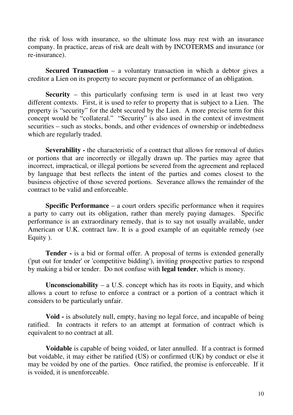the risk of loss with insurance, so the ultimate loss may rest with an insurance company. In practice, areas of risk are dealt with by INCOTERMS and insurance (or re-insurance).

**Secured Transaction** – a voluntary transaction in which a debtor gives a creditor a Lien on its property to secure payment or performance of an obligation.

**Security** – this particularly confusing term is used in at least two very different contexts. First, it is used to refer to property that is subject to a Lien. The property is "security" for the debt secured by the Lien. A more precise term for this concept would be "collateral." "Security" is also used in the context of investment securities – such as stocks, bonds, and other evidences of ownership or indebtedness which are regularly traded.

**Severability -** the characteristic of a contract that allows for removal of duties or portions that are incorrectly or illegally drawn up. The parties may agree that incorrect, impractical, or illegal portions be severed from the agreement and replaced by language that best reflects the intent of the parties and comes closest to the business objective of those severed portions. Severance allows the remainder of the contract to be valid and enforceable.

**Specific Performance** – a court orders specific performance when it requires a party to carry out its obligation, rather than merely paying damages. Specific performance is an extraordinary remedy, that is to say not usually available, under American or U.K. contract law. It is a good example of an equitable remedy (see Equity ).

**Tender -** is a bid or formal offer. A proposal of terms is extended generally ('put out for tender' or 'competitive bidding'), inviting prospective parties to respond by making a bid or tender. Do not confuse with **legal tender**, which is money.

**Unconscionability** – a U.S. concept which has its roots in Equity, and which allows a court to refuse to enforce a contract or a portion of a contract which it considers to be particularly unfair.

**Void -** is absolutely null, empty, having no legal force, and incapable of being ratified. In contracts it refers to an attempt at formation of contract which is equivalent to no contract at all.

**Voidable** is capable of being voided, or later annulled. If a contract is formed but voidable, it may either be ratified (US) or confirmed (UK) by conduct or else it may be voided by one of the parties. Once ratified, the promise is enforceable. If it is voided, it is unenforceable.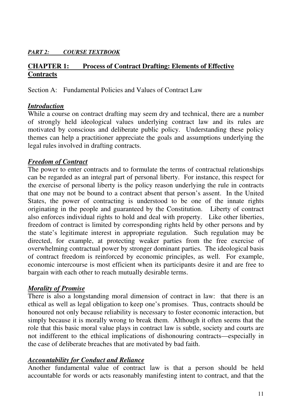#### *PART 2: COURSE TEXTBOOK*

# **CHAPTER 1: Process of Contract Drafting: Elements of Effective Contracts**

Section A: Fundamental Policies and Values of Contract Law

# *Introduction*

While a course on contract drafting may seem dry and technical, there are a number of strongly held ideological values underlying contract law and its rules are motivated by conscious and deliberate public policy. Understanding these policy themes can help a practitioner appreciate the goals and assumptions underlying the legal rules involved in drafting contracts.

# *Freedom of Contract*

The power to enter contracts and to formulate the terms of contractual relationships can be regarded as an integral part of personal liberty. For instance, this respect for the exercise of personal liberty is the policy reason underlying the rule in contracts that one may not be bound to a contract absent that person's assent. In the United States, the power of contracting is understood to be one of the innate rights originating in the people and guaranteed by the Constitution. Liberty of contract also enforces individual rights to hold and deal with property. Like other liberties, freedom of contract is limited by corresponding rights held by other persons and by the state's legitimate interest in appropriate regulation. Such regulation may be directed, for example, at protecting weaker parties from the free exercise of overwhelming contractual power by stronger dominant parties. The ideological basis of contract freedom is reinforced by economic principles, as well. For example, economic intercourse is most efficient when its participants desire it and are free to bargain with each other to reach mutually desirable terms.

# *Morality of Promise*

There is also a longstanding moral dimension of contract in law: that there is an ethical as well as legal obligation to keep one's promises. Thus, contracts should be honoured not only because reliability is necessary to foster economic interaction, but simply because it is morally wrong to break them. Although it often seems that the role that this basic moral value plays in contract law is subtle, society and courts are not indifferent to the ethical implications of dishonouring contracts—especially in the case of deliberate breaches that are motivated by bad faith.

# *Accountability for Conduct and Reliance*

Another fundamental value of contract law is that a person should be held accountable for words or acts reasonably manifesting intent to contract, and that the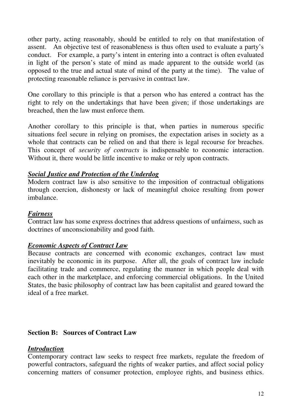other party, acting reasonably, should be entitled to rely on that manifestation of assent. An objective test of reasonableness is thus often used to evaluate a party's conduct. For example, a party's intent in entering into a contract is often evaluated in light of the person's state of mind as made apparent to the outside world (as opposed to the true and actual state of mind of the party at the time). The value of protecting reasonable reliance is pervasive in contract law.

One corollary to this principle is that a person who has entered a contract has the right to rely on the undertakings that have been given; if those undertakings are breached, then the law must enforce them.

Another corollary to this principle is that, when parties in numerous specific situations feel secure in relying on promises, the expectation arises in society as a whole that contracts can be relied on and that there is legal recourse for breaches. This concept of *security of contracts* is indispensable to economic interaction. Without it, there would be little incentive to make or rely upon contracts.

#### *Social Justice and Protection of the Underdog*

Modern contract law is also sensitive to the imposition of contractual obligations through coercion, dishonesty or lack of meaningful choice resulting from power imbalance.

# *Fairness*

Contract law has some express doctrines that address questions of unfairness, such as doctrines of unconscionability and good faith.

# *Economic Aspects of Contract Law*

Because contracts are concerned with economic exchanges, contract law must inevitably be economic in its purpose. After all, the goals of contract law include facilitating trade and commerce, regulating the manner in which people deal with each other in the marketplace, and enforcing commercial obligations. In the United States, the basic philosophy of contract law has been capitalist and geared toward the ideal of a free market.

# **Section B: Sources of Contract Law**

#### *Introduction*

Contemporary contract law seeks to respect free markets, regulate the freedom of powerful contractors, safeguard the rights of weaker parties, and affect social policy concerning matters of consumer protection, employee rights, and business ethics.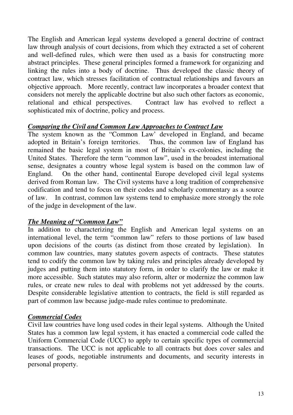The English and American legal systems developed a general doctrine of contract law through analysis of court decisions, from which they extracted a set of coherent and well-defined rules, which were then used as a basis for constructing more abstract principles. These general principles formed a framework for organizing and linking the rules into a body of doctrine. Thus developed the classic theory of contract law, which stresses facilitation of contractual relationships and favours an objective approach. More recently, contract law incorporates a broader context that considers not merely the applicable doctrine but also such other factors as economic, relational and ethical perspectives. Contract law has evolved to reflect a Contract law has evolved to reflect a sophisticated mix of doctrine, policy and process.

# *Comparing the Civil and Common Law Approaches to Contract Law*

The system known as the "Common Law' developed in England, and became adopted in Britain's foreign territories. Thus, the common law of England has adopted in Britain's foreign territories. remained the basic legal system in most of Britain's ex-colonies, including the United States. Therefore the term "common law", used in the broadest international sense, designates a country whose legal system is based on the common law of England. On the other hand, continental Europe developed civil legal systems derived from Roman law. The Civil systems have a long tradition of comprehensive codification and tend to focus on their codes and scholarly commentary as a source of law. In contrast, common law systems tend to emphasize more strongly the role of the judge in development of the law.

# *The Meaning of "Common Law"*

In addition to characterizing the English and American legal systems on an international level, the term "common law" refers to those portions of law based upon decisions of the courts (as distinct from those created by legislation). In common law countries, many statutes govern aspects of contracts. These statutes tend to codify the common law by taking rules and principles already developed by judges and putting them into statutory form, in order to clarify the law or make it more accessible. Such statutes may also reform, alter or modernize the common law rules, or create new rules to deal with problems not yet addressed by the courts. Despite considerable legislative attention to contracts, the field is still regarded as part of common law because judge-made rules continue to predominate.

# *Commercial Codes*

Civil law countries have long used codes in their legal systems. Although the United States has a common law legal system, it has enacted a commercial code called the Uniform Commercial Code (UCC) to apply to certain specific types of commercial transactions. The UCC is not applicable to all contracts but does cover sales and leases of goods, negotiable instruments and documents, and security interests in personal property.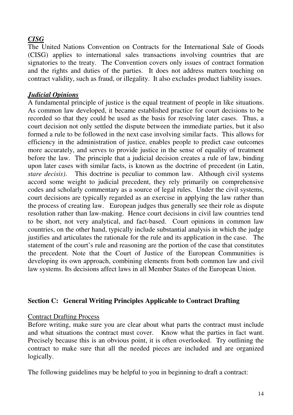# *CISG*

The United Nations Convention on Contracts for the International Sale of Goods (CISG) applies to international sales transactions involving countries that are signatories to the treaty. The Convention covers only issues of contract formation and the rights and duties of the parties. It does not address matters touching on contract validity, such as fraud, or illegality. It also excludes product liability issues.

# *Judicial Opinions*

A fundamental principle of justice is the equal treatment of people in like situations. As common law developed, it became established practice for court decisions to be recorded so that they could be used as the basis for resolving later cases. Thus, a court decision not only settled the dispute between the immediate parties, but it also formed a rule to be followed in the next case involving similar facts. This allows for efficiency in the administration of justice, enables people to predict case outcomes more accurately, and serves to provide justice in the sense of equality of treatment before the law. The principle that a judicial decision creates a rule of law, binding upon later cases with similar facts, is known as the doctrine of precedent (in Latin, *stare decisis)*. This doctrine is peculiar to common law. Although civil systems accord some weight to judicial precedent, they rely primarily on comprehensive codes and scholarly commentary as a source of legal rules. Under the civil systems, court decisions are typically regarded as an exercise in applying the law rather than the process of creating law. European judges thus generally see their role as dispute resolution rather than law-making. Hence court decisions in civil law countries tend to be short, not very analytical, and fact-based. Court opinions in common law countries, on the other hand, typically include substantial analysis in which the judge justifies and articulates the rationale for the rule and its application in the case. The statement of the court's rule and reasoning are the portion of the case that constitutes the precedent. Note that the Court of Justice of the European Communities is developing its own approach, combining elements from both common law and civil law systems. Its decisions affect laws in all Member States of the European Union.

# **Section C: General Writing Principles Applicable to Contract Drafting**

#### Contract Drafting Process

Before writing, make sure you are clear about what parts the contract must include and what situations the contract must cover. Know what the parties in fact want. Precisely because this is an obvious point, it is often overlooked. Try outlining the contract to make sure that all the needed pieces are included and are organized logically.

The following guidelines may be helpful to you in beginning to draft a contract: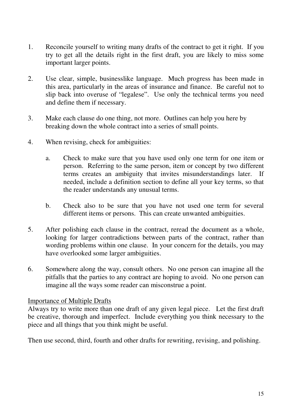- 1. Reconcile yourself to writing many drafts of the contract to get it right. If you try to get all the details right in the first draft, you are likely to miss some important larger points.
- 2. Use clear, simple, businesslike language. Much progress has been made in this area, particularly in the areas of insurance and finance. Be careful not to slip back into overuse of "legalese". Use only the technical terms you need and define them if necessary.
- 3. Make each clause do one thing, not more. Outlines can help you here by breaking down the whole contract into a series of small points.
- 4. When revising, check for ambiguities:
	- a. Check to make sure that you have used only one term for one item or person. Referring to the same person, item or concept by two different terms creates an ambiguity that invites misunderstandings later. If needed, include a definition section to define all your key terms, so that the reader understands any unusual terms.
	- b. Check also to be sure that you have not used one term for several different items or persons. This can create unwanted ambiguities.
- 5. After polishing each clause in the contract, reread the document as a whole, looking for larger contradictions between parts of the contract, rather than wording problems within one clause. In your concern for the details, you may have overlooked some larger ambiguities.
- 6. Somewhere along the way, consult others. No one person can imagine all the pitfalls that the parties to any contract are hoping to avoid. No one person can imagine all the ways some reader can misconstrue a point.

#### Importance of Multiple Drafts

Always try to write more than one draft of any given legal piece. Let the first draft be creative, thorough and imperfect. Include everything you think necessary to the piece and all things that you think might be useful.

Then use second, third, fourth and other drafts for rewriting, revising, and polishing.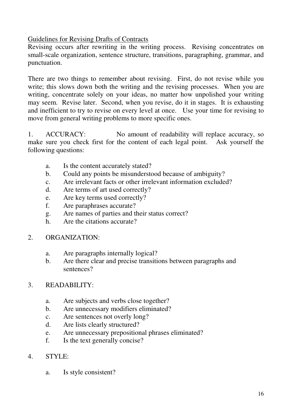Guidelines for Revising Drafts of Contracts

Revising occurs after rewriting in the writing process. Revising concentrates on small-scale organization, sentence structure, transitions, paragraphing, grammar, and punctuation.

There are two things to remember about revising. First, do not revise while you write; this slows down both the writing and the revising processes. When you are writing, concentrate solely on your ideas, no matter how unpolished your writing may seem. Revise later. Second, when you revise, do it in stages. It is exhausting and inefficient to try to revise on every level at once. Use your time for revising to move from general writing problems to more specific ones.

1. ACCURACY: No amount of readability will replace accuracy, so make sure you check first for the content of each legal point. Ask yourself the following questions:

- a. Is the content accurately stated?
- b. Could any points be misunderstood because of ambiguity?
- c. Are irrelevant facts or other irrelevant information excluded?
- d. Are terms of art used correctly?
- e. Are key terms used correctly?
- f. Are paraphrases accurate?
- g. Are names of parties and their status correct?
- h. Are the citations accurate?

#### 2. ORGANIZATION:

- a. Are paragraphs internally logical?
- b. Are there clear and precise transitions between paragraphs and sentences?

# 3. READABILITY:

- a. Are subjects and verbs close together?
- b. Are unnecessary modifiers eliminated?
- c. Are sentences not overly long?
- d. Are lists clearly structured?
- e. Are unnecessary prepositional phrases eliminated?
- f. Is the text generally concise?

# 4. STYLE:

a. Is style consistent?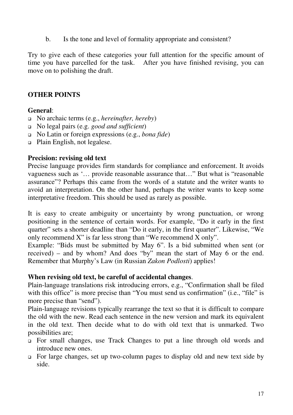b. Is the tone and level of formality appropriate and consistent?

Try to give each of these categories your full attention for the specific amount of time you have parcelled for the task. After you have finished revising, you can move on to polishing the draft.

#### **OTHER POINTS**

#### **General**:

- No archaic terms (e.g., *hereinafter, hereby*)
- No legal pairs (e.g. *good and sufficient*)
- No Latin or foreign expressions (e.g., *bona fide*)
- □ Plain English, not legalese.

#### **Precision: revising old text**

Precise language provides firm standards for compliance and enforcement. It avoids vagueness such as '… provide reasonable assurance that…" But what is "reasonable assurance"? Perhaps this came from the words of a statute and the writer wants to avoid an interpretation. On the other hand, perhaps the writer wants to keep some interpretative freedom. This should be used as rarely as possible.

It is easy to create ambiguity or uncertainty by wrong punctuation, or wrong positioning in the sentence of certain words. For example, "Do it early in the first quarter" sets a shorter deadline than "Do it early, in the first quarter". Likewise, "We only recommend X" is far less strong than "We recommend X only".

Example: "Bids must be submitted by May 6". Is a bid submitted when sent (or received) – and by whom? And does "by" mean the start of May 6 or the end. Remember that Murphy's Law (in Russian *Zakon Podlosti*) applies!

#### **When revising old text, be careful of accidental changes**.

Plain-language translations risk introducing errors, e.g., "Confirmation shall be filed with this office" is more precise than "You must send us confirmation" (i.e., "file" is more precise than "send").

Plain-language revisions typically rearrange the text so that it is difficult to compare the old with the new. Read each sentence in the new version and mark its equivalent in the old text. Then decide what to do with old text that is unmarked. Two possibilities are;

- For small changes, use Track Changes to put a line through old words and introduce new ones.
- For large changes, set up two-column pages to display old and new text side by side.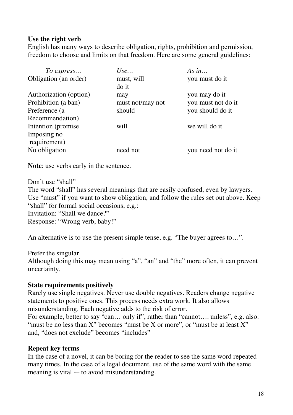#### **Use the right verb**

English has many ways to describe obligation, rights, prohibition and permission, freedom to choose and limits on that freedom. Here are some general guidelines:

| To express             | Use              | As in              |
|------------------------|------------------|--------------------|
| Obligation (an order)  | must, will       | you must do it     |
|                        | do it            |                    |
| Authorization (option) | may              | you may do it      |
| Prohibition (a ban)    | must not/may not | you must not do it |
| Preference (a)         | should           | you should do it   |
| Recommendation)        |                  |                    |
| Intention (promise)    | will             | we will do it      |
| Imposing no            |                  |                    |
| requirement)           |                  |                    |
| No obligation          | need not         | you need not do it |

**Note**: use verbs early in the sentence.

Don't use "shall" The word "shall" has several meanings that are easily confused, even by lawyers. Use "must" if you want to show obligation, and follow the rules set out above. Keep "shall" for formal social occasions, e.g.: Invitation: "Shall we dance?" Response: "Wrong verb, baby!"

An alternative is to use the present simple tense, e.g. "The buyer agrees to…".

Prefer the singular Although doing this may mean using "a", "an" and "the" more often, it can prevent uncertainty.

#### **State requirements positively**

Rarely use single negatives. Never use double negatives. Readers change negative statements to positive ones. This process needs extra work. It also allows misunderstanding. Each negative adds to the risk of error.

For example, better to say "can... only if", rather than "cannot.... unless", e.g. also: "must be no less than X" becomes "must be X or more", or "must be at least X" and, "does not exclude" becomes "includes"

#### **Repeat key terms**

In the case of a novel, it can be boring for the reader to see the same word repeated many times. In the case of a legal document, use of the same word with the same meaning is vital -- to avoid misunderstanding.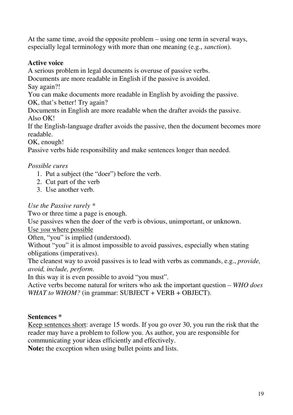At the same time, avoid the opposite problem – using one term in several ways, especially legal terminology with more than one meaning (e.g., *sanction*).

# **Active voice**

A serious problem in legal documents is overuse of passive verbs.

Documents are more readable in English if the passive is avoided.

Say again?!

You can make documents more readable in English by avoiding the passive. OK, that's better! Try again?

Documents in English are more readable when the drafter avoids the passive. Also OK!

If the English-language drafter avoids the passive, then the document becomes more readable.

OK, enough!

Passive verbs hide responsibility and make sentences longer than needed.

# *Possible cures*

- 1. Put a subject (the "doer") before the verb.
- 2. Cut part of the verb
- 3. Use another verb.

# *Use the Passive rarely \**

Two or three time a page is enough.

Use passives when the doer of the verb is obvious, unimportant, or unknown.

# Use *you* where possible

Often, "you" is implied (understood).

Without "you" it is almost impossible to avoid passives, especially when stating obligations (imperatives).

The cleanest way to avoid passives is to lead with verbs as commands, e.g., *provide, avoid, include, perform*.

In this way it is even possible to avoid "you must".

Active verbs become natural for writers who ask the important question – *WHO does WHAT to WHOM?* (in grammar: SUBJECT + VERB + OBJECT).

# **Sentences \***

Keep sentences short: average 15 words. If you go over 30, you run the risk that the reader may have a problem to follow you. As author, you are responsible for communicating your ideas efficiently and effectively.

**Note:** the exception when using bullet points and lists.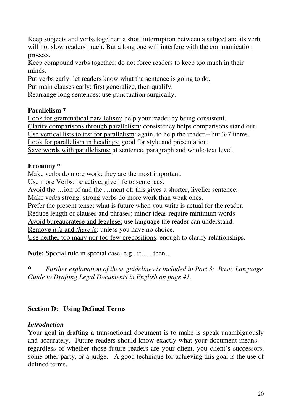Keep subjects and verbs together: a short interruption between a subject and its verb will not slow readers much. But a long one will interfere with the communication process.

Keep compound verbs together: do not force readers to keep too much in their minds.

Put verbs early: let readers know what the sentence is going to do.

Put main clauses early: first generalize, then qualify.

Rearrange long sentences: use punctuation surgically.

# **Parallelism \***

Look for grammatical parallelism: help your reader by being consistent. Clarify comparisons through parallelism: consistency helps comparisons stand out. Use vertical lists to test for parallelism: again, to help the reader – but 3-7 items. Look for parallelism in headings: good for style and presentation. Save words with parallelisms: at sentence, paragraph and whole-text level.

# **Economy \***

Make verbs do more work: they are the most important.

Use more Verbs: be active, give life to sentences.

Avoid the ...ion of and the ...ment of: this gives a shorter, livelier sentence.

Make verbs strong: strong verbs do more work than weak ones.

Prefer the present tense: what is future when you write is actual for the reader.

Reduce length of clauses and phrases: minor ideas require minimum words.

Avoid bureaucratese and legalese: use language the reader can understand.

Remove *it is* and *there i*s: unless you have no choice.

Use neither too many nor too few prepositions: enough to clarify relationships.

**Note:** Special rule in special case: e.g., if…., then…

*\* Further explanation of these guidelines is included in Part 3: Basic Language Guide to Drafting Legal Documents in English on page 41.*

# **Section D: Using Defined Terms**

# *Introduction*

Your goal in drafting a transactional document is to make is speak unambiguously and accurately. Future readers should know exactly what your document means regardless of whether those future readers are your client, you client's successors, some other party, or a judge. A good technique for achieving this goal is the use of defined terms.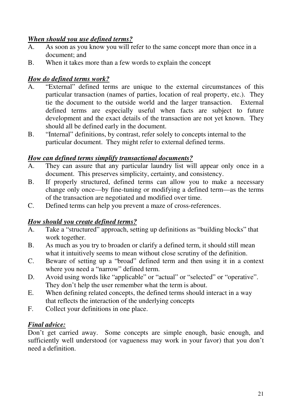# *When should you use defined terms?*

- A. As soon as you know you will refer to the same concept more than once in a document; and
- B. When it takes more than a few words to explain the concept

# *How do defined terms work?*

- A. "External" defined terms are unique to the external circumstances of this particular transaction (names of parties, location of real property, etc.). They tie the document to the outside world and the larger transaction. External defined terms are especially useful when facts are subject to future development and the exact details of the transaction are not yet known. They should all be defined early in the document.
- B. "Internal" definitions, by contrast, refer solely to concepts internal to the particular document. They might refer to external defined terms.

# *How can defined terms simplify transactional documents?*

- A. They can assure that any particular laundry list will appear only once in a document. This preserves simplicity, certainty, and consistency.
- B. If properly structured, defined terms can allow you to make a necessary change only once—by fine-tuning or modifying a defined term—as the terms of the transaction are negotiated and modified over time.
- C. Defined terms can help you prevent a maze of cross-references.

# *How should you create defined terms?*

- A. Take a "structured" approach, setting up definitions as "building blocks" that work together.
- B. As much as you try to broaden or clarify a defined term, it should still mean what it intuitively seems to mean without close scrutiny of the definition.
- C. Beware of setting up a "broad" defined term and then using it in a context where you need a "narrow" defined term.
- D. Avoid using words like "applicable" or "actual" or "selected" or "operative". They don't help the user remember what the term is about.
- E. When defining related concepts, the defined terms should interact in a way that reflects the interaction of the underlying concepts
- F. Collect your definitions in one place.

# *Final advice:*

Don't get carried away. Some concepts are simple enough, basic enough, and sufficiently well understood (or vagueness may work in your favor) that you don't need a definition.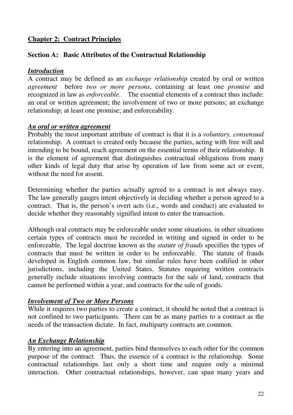# **Chapter 2: Contract Principles**

#### **Section A: Basic Attributes of the Contractual Relationship**

# *Introduction*

A contract may be defined as an *exchange relationship* created by oral or written *agreement* before *two or more persons*, containing at least one *promise* and recognized in law as *enforceable*. The essential elements of a contract thus include: an oral or written agreement; the involvement of two or more persons; an exchange relationship; at least one promise; and enforceability.

# *An oral or written agreement*

Probably the most important attribute of contract is that it is a *voluntary, consensual* relationship. A contract is created only because the parties, acting with free will and intending to be bound, reach agreement on the essential terms of their relationship. It is the element of agreement that distinguishes contractual obligations from many other kinds of legal duty that arise by operation of law from some act or event, without the need for assent.

Determining whether the parties actually agreed to a contract is not always easy. The law generally gauges intent objectively in deciding whether a person agreed to a contract. That is, the person's overt acts (i.e., words and conduct) are evaluated to decide whether they reasonably signified intent to enter the transaction.

Although oral contracts may be enforceable under some situations, in other situations certain types of contracts must be recorded in writing and signed in order to be enforceable. The legal doctrine known as the *statute of frauds* specifies the types of contracts that must be written in order to be enforceable. The statute of frauds developed in English common law, but similar rules have been codified in other jurisdictions, including the United States. Statutes requiring written contracts generally include situations involving contracts for the sale of land, contracts that cannot be performed within a year, and contracts for the sale of goods.

# *Involvement of Two or More Persons*

While it requires two parties to create a contract, it should be noted that a contract is not confined to two participants. There can be as many parties to a contract as the needs of the transaction dictate. In fact, multiparty contracts are common.

# *An Exchange Relationship*

By entering into an agreement, parties bind themselves to each other for the common purpose of the contract. Thus, the essence of a contract is the relationship. Some contractual relationships last only a short time and require only a minimal interaction. Other contractual relationships, however, can span many years and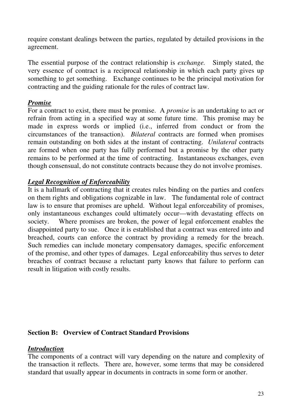require constant dealings between the parties, regulated by detailed provisions in the agreement.

The essential purpose of the contract relationship is *exchange.* Simply stated, the very essence of contract is a reciprocal relationship in which each party gives up something to get something. Exchange continues to be the principal motivation for contracting and the guiding rationale for the rules of contract law.

#### *Promise*

For a contract to exist, there must be promise. A *promise* is an undertaking to act or refrain from acting in a specified way at some future time. This promise may be made in express words or implied (i.e., inferred from conduct or from the circumstances of the transaction). *Bilateral* contracts are formed when promises remain outstanding on both sides at the instant of contracting. *Unilateral* contracts are formed when one party has fully performed but a promise by the other party remains to be performed at the time of contracting. Instantaneous exchanges, even though consensual, do not constitute contracts because they do not involve promises.

#### *Legal Recognition of Enforceability*

It is a hallmark of contracting that it creates rules binding on the parties and confers on them rights and obligations cognizable in law. The fundamental role of contract law is to ensure that promises are upheld. Without legal enforceability of promises, only instantaneous exchanges could ultimately occur—with devastating effects on society. Where promises are broken, the power of legal enforcement enables the disappointed party to sue. Once it is established that a contract was entered into and breached, courts can enforce the contract by providing a remedy for the breach. Such remedies can include monetary compensatory damages, specific enforcement of the promise, and other types of damages. Legal enforceability thus serves to deter breaches of contract because a reluctant party knows that failure to perform can result in litigation with costly results.

#### **Section B: Overview of Contract Standard Provisions**

# *Introduction*

The components of a contract will vary depending on the nature and complexity of the transaction it reflects. There are, however, some terms that may be considered standard that usually appear in documents in contracts in some form or another.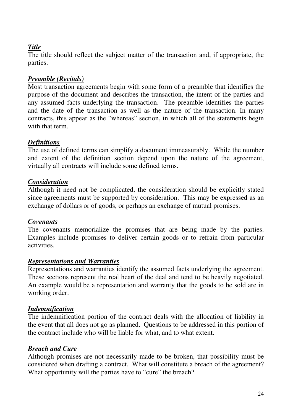# *Title*

The title should reflect the subject matter of the transaction and, if appropriate, the parties.

# *Preamble (Recitals)*

Most transaction agreements begin with some form of a preamble that identifies the purpose of the document and describes the transaction, the intent of the parties and any assumed facts underlying the transaction. The preamble identifies the parties and the date of the transaction as well as the nature of the transaction. In many contracts, this appear as the "whereas" section, in which all of the statements begin with that term.

# *Definitions*

The use of defined terms can simplify a document immeasurably. While the number and extent of the definition section depend upon the nature of the agreement, virtually all contracts will include some defined terms.

# *Consideration*

Although it need not be complicated, the consideration should be explicitly stated since agreements must be supported by consideration. This may be expressed as an exchange of dollars or of goods, or perhaps an exchange of mutual promises.

# *Covenants*

The covenants memorialize the promises that are being made by the parties. Examples include promises to deliver certain goods or to refrain from particular activities.

#### *Representations and Warranties*

Representations and warranties identify the assumed facts underlying the agreement. These sections represent the real heart of the deal and tend to be heavily negotiated. An example would be a representation and warranty that the goods to be sold are in working order.

# *Indemnification*

The indemnification portion of the contract deals with the allocation of liability in the event that all does not go as planned. Questions to be addressed in this portion of the contract include who will be liable for what, and to what extent.

# *Breach and Cure*

Although promises are not necessarily made to be broken, that possibility must be considered when drafting a contract. What will constitute a breach of the agreement? What opportunity will the parties have to "cure" the breach?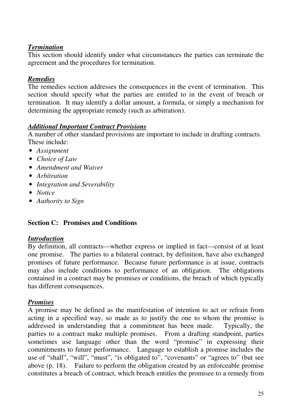# *Termination*

This section should identify under what circumstances the parties can terminate the agreement and the procedures for termination.

#### *Remedies*

The remedies section addresses the consequences in the event of termination. This section should specify what the parties are entitled to in the event of breach or termination. It may identify a dollar amount, a formula, or simply a mechanism for determining the appropriate remedy (such as arbitration).

# *Additional Important Contract Provisions*

A number of other standard provisions are important to include in drafting contracts. These include:

- *Assignment*
- *Choice of Law*
- *Amendment and Waiver*
- *Arbitration*
- *Integration and Severability*
- *Notice*
- *Authority to Sign*

# **Section C: Promises and Conditions**

# *Introduction*

By definition, all contracts—whether express or implied in fact—consist of at least one promise. The parties to a bilateral contract, by definition, have also exchanged promises of future performance. Because future performance is at issue, contracts may also include conditions to performance of an obligation. The obligations contained in a contract may be promises or conditions, the breach of which typically has different consequences.

# *Promises*

A promise may be defined as the manifestation of intention to act or refrain from acting in a specified way, so made as to justify the one to whom the promise is addressed in understanding that a commitment has been made. Typically, the parties to a contract make multiple promises. From a drafting standpoint, parties sometimes use language other than the word "promise" in expressing their commitments to future performance. Language to establish a promise includes the use of "shall", "will", "must", "is obligated to", "covenants" or "agrees to" (but see above (p. 18). Failure to perform the obligation created by an enforceable promise constitutes a breach of contract, which breach entitles the promisee to a remedy from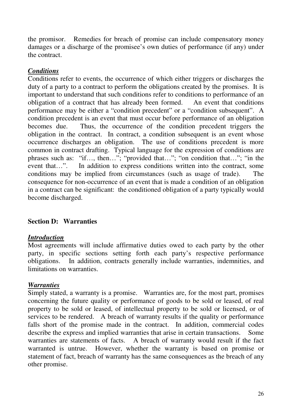the promisor. Remedies for breach of promise can include compensatory money damages or a discharge of the promisee's own duties of performance (if any) under the contract.

# *Conditions*

Conditions refer to events, the occurrence of which either triggers or discharges the duty of a party to a contract to perform the obligations created by the promises. It is important to understand that such conditions refer to conditions to performance of an obligation of a contract that has already been formed. An event that conditions performance may be either a "condition precedent" or a "condition subsequent". A condition precedent is an event that must occur before performance of an obligation becomes due. Thus, the occurrence of the condition precedent triggers the obligation in the contract. In contract, a condition subsequent is an event whose occurrence discharges an obligation. The use of conditions precedent is more common in contract drafting. Typical language for the expression of conditions are phrases such as: "if..., then..."; "provided that..."; "on condition that..."; "in the event that...". In addition to express conditions written into the contract, some In addition to express conditions written into the contract, some conditions may be implied from circumstances (such as usage of trade). The consequence for non-occurrence of an event that is made a condition of an obligation in a contract can be significant: the conditioned obligation of a party typically would become discharged.

# **Section D: Warranties**

# *Introduction*

Most agreements will include affirmative duties owed to each party by the other party, in specific sections setting forth each party's respective performance obligations. In addition, contracts generally include warranties, indemnities, and limitations on warranties.

# *Warranties*

Simply stated, a warranty is a promise. Warranties are, for the most part, promises concerning the future quality or performance of goods to be sold or leased, of real property to be sold or leased, of intellectual property to be sold or licensed, or of services to be rendered. A breach of warranty results if the quality or performance falls short of the promise made in the contract. In addition, commercial codes describe the express and implied warranties that arise in certain transactions. Some warranties are statements of facts. A breach of warranty would result if the fact warranted is untrue. However, whether the warranty is based on promise or statement of fact, breach of warranty has the same consequences as the breach of any other promise.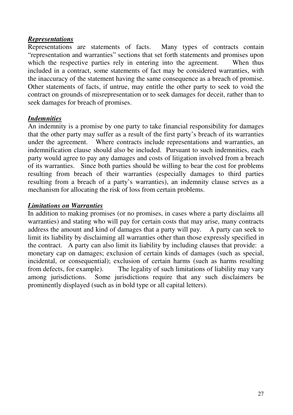#### *Representations*

Representations are statements of facts. Many types of contracts contain "representation and warranties" sections that set forth statements and promises upon which the respective parties rely in entering into the agreement. When thus included in a contract, some statements of fact may be considered warranties, with the inaccuracy of the statement having the same consequence as a breach of promise. Other statements of facts, if untrue, may entitle the other party to seek to void the contract on grounds of misrepresentation or to seek damages for deceit, rather than to seek damages for breach of promises.

#### *Indemnities*

An indemnity is a promise by one party to take financial responsibility for damages that the other party may suffer as a result of the first party's breach of its warranties under the agreement. Where contracts include representations and warranties, an indemnification clause should also be included. Pursuant to such indemnities, each party would agree to pay any damages and costs of litigation involved from a breach of its warranties. Since both parties should be willing to bear the cost for problems resulting from breach of their warranties (especially damages to third parties resulting from a breach of a party's warranties), an indemnity clause serves as a mechanism for allocating the risk of loss from certain problems.

# *Limitations on Warranties*

In addition to making promises (or no promises, in cases where a party disclaims all warranties) and stating who will pay for certain costs that may arise, many contracts address the amount and kind of damages that a party will pay. A party can seek to limit its liability by disclaiming all warranties other than those expressly specified in the contract. A party can also limit its liability by including clauses that provide: a monetary cap on damages; exclusion of certain kinds of damages (such as special, incidental, or consequential); exclusion of certain harms (such as harms resulting from defects, for example). The legality of such limitations of liability may vary among jurisdictions. Some jurisdictions require that any such disclaimers be prominently displayed (such as in bold type or all capital letters).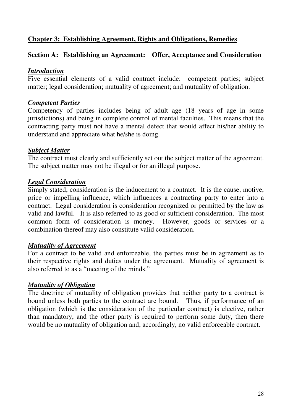#### **Chapter 3: Establishing Agreement, Rights and Obligations, Remedies**

#### **Section A: Establishing an Agreement: Offer, Acceptance and Consideration**

#### *Introduction*

Five essential elements of a valid contract include: competent parties; subject matter; legal consideration; mutuality of agreement; and mutuality of obligation.

#### *Competent Parties*

Competency of parties includes being of adult age (18 years of age in some jurisdictions) and being in complete control of mental faculties. This means that the contracting party must not have a mental defect that would affect his/her ability to understand and appreciate what he/she is doing.

#### *Subject Matter*

The contract must clearly and sufficiently set out the subject matter of the agreement. The subject matter may not be illegal or for an illegal purpose.

#### *Legal Consideration*

Simply stated, consideration is the inducement to a contract. It is the cause, motive, price or impelling influence, which influences a contracting party to enter into a contract. Legal consideration is consideration recognized or permitted by the law as valid and lawful. It is also referred to as good or sufficient consideration. The most common form of consideration is money. However, goods or services or a combination thereof may also constitute valid consideration.

#### *Mutuality of Agreement*

For a contract to be valid and enforceable, the parties must be in agreement as to their respective rights and duties under the agreement. Mutuality of agreement is also referred to as a "meeting of the minds."

#### *Mutuality of Obligation*

The doctrine of mutuality of obligation provides that neither party to a contract is bound unless both parties to the contract are bound. Thus, if performance of an obligation (which is the consideration of the particular contract) is elective, rather than mandatory, and the other party is required to perform some duty, then there would be no mutuality of obligation and, accordingly, no valid enforceable contract.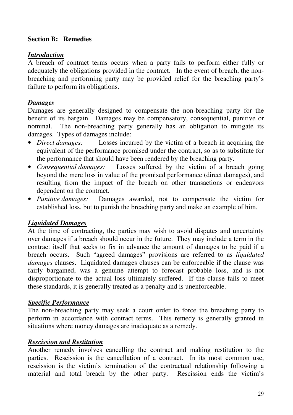#### **Section B: Remedies**

#### *Introduction*

A breach of contract terms occurs when a party fails to perform either fully or adequately the obligations provided in the contract. In the event of breach, the nonbreaching and performing party may be provided relief for the breaching party's failure to perform its obligations.

# *Damages*

Damages are generally designed to compensate the non-breaching party for the benefit of its bargain. Damages may be compensatory, consequential, punitive or nominal. The non-breaching party generally has an obligation to mitigate its damages. Types of damages include:

- *Direct damages:* Losses incurred by the victim of a breach in acquiring the equivalent of the performance promised under the contract, so as to substitute for the performance that should have been rendered by the breaching party.
- *Consequential damages:* Losses suffered by the victim of a breach going beyond the mere loss in value of the promised performance (direct damages), and resulting from the impact of the breach on other transactions or endeavors dependent on the contract.
- *Punitive damages:* Damages awarded, not to compensate the victim for established loss, but to punish the breaching party and make an example of him.

# *Liquidated Damages*

At the time of contracting, the parties may wish to avoid disputes and uncertainty over damages if a breach should occur in the future. They may include a term in the contract itself that seeks to fix in advance the amount of damages to be paid if a breach occurs. Such "agreed damages" provisions are referred to as *liquidated damages* clauses. Liquidated damages clauses can be enforceable if the clause was fairly bargained, was a genuine attempt to forecast probable loss, and is not disproportionate to the actual loss ultimately suffered. If the clause fails to meet these standards, it is generally treated as a penalty and is unenforceable.

# *Specific Performance*

The non-breaching party may seek a court order to force the breaching party to perform in accordance with contract terms. This remedy is generally granted in situations where money damages are inadequate as a remedy.

# *Rescission and Restitution*

Another remedy involves cancelling the contract and making restitution to the parties. Rescission is the cancellation of a contract. In its most common use, rescission is the victim's termination of the contractual relationship following a material and total breach by the other party. Rescission ends the victim's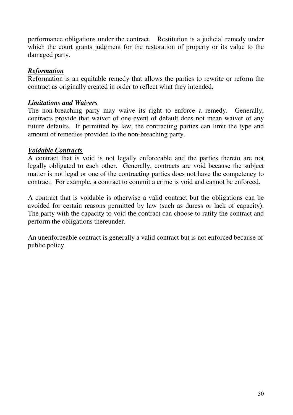performance obligations under the contract. Restitution is a judicial remedy under which the court grants judgment for the restoration of property or its value to the damaged party.

#### *Reformation*

Reformation is an equitable remedy that allows the parties to rewrite or reform the contract as originally created in order to reflect what they intended.

#### *Limitations and Waivers*

The non-breaching party may waive its right to enforce a remedy. Generally, contracts provide that waiver of one event of default does not mean waiver of any future defaults. If permitted by law, the contracting parties can limit the type and amount of remedies provided to the non-breaching party.

#### *Voidable Contracts*

A contract that is void is not legally enforceable and the parties thereto are not legally obligated to each other. Generally, contracts are void because the subject matter is not legal or one of the contracting parties does not have the competency to contract. For example, a contract to commit a crime is void and cannot be enforced.

A contract that is voidable is otherwise a valid contract but the obligations can be avoided for certain reasons permitted by law (such as duress or lack of capacity). The party with the capacity to void the contract can choose to ratify the contract and perform the obligations thereunder.

An unenforceable contract is generally a valid contract but is not enforced because of public policy.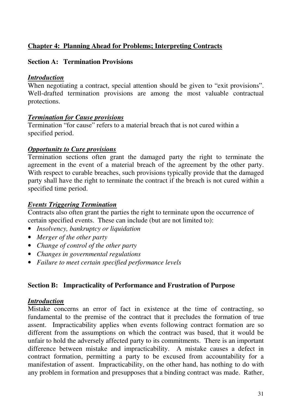# **Chapter 4: Planning Ahead for Problems; Interpreting Contracts**

#### **Section A: Termination Provisions**

#### *Introduction*

When negotiating a contract, special attention should be given to "exit provisions". Well-drafted termination provisions are among the most valuable contractual protections.

#### *Termination for Cause provisions*

Termination "for cause" refers to a material breach that is not cured within a specified period.

#### *Opportunity to Cure provisions*

Termination sections often grant the damaged party the right to terminate the agreement in the event of a material breach of the agreement by the other party. With respect to curable breaches, such provisions typically provide that the damaged party shall have the right to terminate the contract if the breach is not cured within a specified time period.

#### *Events Triggering Termination*

Contracts also often grant the parties the right to terminate upon the occurrence of certain specified events. These can include (but are not limited to):

- *Insolvency, bankruptcy or liquidation*
- *Merger of the other party*
- *Change of control of the other party*
- *Changes in governmental regulations*
- *Failure to meet certain specified performance levels*

#### **Section B: Impracticality of Performance and Frustration of Purpose**

#### *Introduction*

Mistake concerns an error of fact in existence at the time of contracting, so fundamental to the premise of the contract that it precludes the formation of true assent. Impracticability applies when events following contract formation are so different from the assumptions on which the contract was based, that it would be unfair to hold the adversely affected party to its commitments. There is an important difference between mistake and impracticability. A mistake causes a defect in contract formation, permitting a party to be excused from accountability for a manifestation of assent. Impracticability, on the other hand, has nothing to do with any problem in formation and presupposes that a binding contract was made. Rather,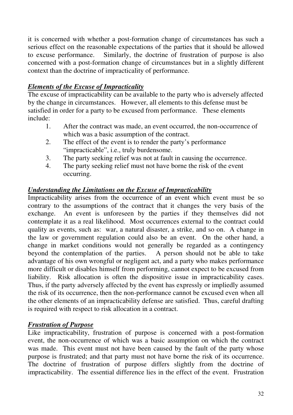it is concerned with whether a post-formation change of circumstances has such a serious effect on the reasonable expectations of the parties that it should be allowed to excuse performance. Similarly, the doctrine of frustration of purpose is also concerned with a post-formation change of circumstances but in a slightly different context than the doctrine of impracticality of performance.

# *Elements of the Excuse of Impracticality*

The excuse of impracticability can be available to the party who is adversely affected by the change in circumstances. However, all elements to this defense must be satisfied in order for a party to be excused from performance. These elements include:

- 1. After the contract was made, an event occurred, the non-occurrence of which was a basic assumption of the contract.
- 2. The effect of the event is to render the party's performance "impracticable", i.e., truly burdensome.
- 3. The party seeking relief was not at fault in causing the occurrence.
- 4. The party seeking relief must not have borne the risk of the event occurring.

# *Understanding the Limitations on the Excuse of Impracticability*

Impracticability arises from the occurrence of an event which event must be so contrary to the assumptions of the contract that it changes the very basis of the exchange. An event is unforeseen by the parties if they themselves did not contemplate it as a real likelihood. Most occurrences external to the contract could quality as events, such as: war, a natural disaster, a strike, and so on. A change in the law or government regulation could also be an event. On the other hand, a change in market conditions would not generally be regarded as a contingency beyond the contemplation of the parties. A person should not be able to take advantage of his own wrongful or negligent act, and a party who makes performance more difficult or disables himself from performing, cannot expect to be excused from liability. Risk allocation is often the dispositive issue in impracticability cases. Thus, if the party adversely affected by the event has expressly or impliedly assumed the risk of its occurrence, then the non-performance cannot be excused even when all the other elements of an impracticability defense are satisfied. Thus, careful drafting is required with respect to risk allocation in a contract.

# *Frustration of Purpose*

Like impracticability, frustration of purpose is concerned with a post-formation event, the non-occurrence of which was a basic assumption on which the contract was made. This event must not have been caused by the fault of the party whose purpose is frustrated; and that party must not have borne the risk of its occurrence. The doctrine of frustration of purpose differs slightly from the doctrine of impracticability. The essential difference lies in the effect of the event. Frustration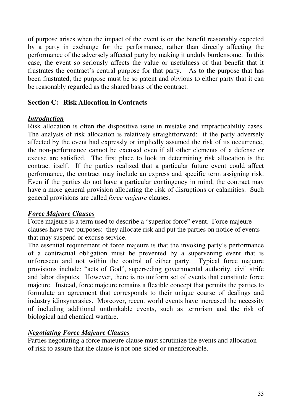of purpose arises when the impact of the event is on the benefit reasonably expected by a party in exchange for the performance, rather than directly affecting the performance of the adversely affected party by making it unduly burdensome. In this case, the event so seriously affects the value or usefulness of that benefit that it frustrates the contract's central purpose for that party. As to the purpose that has been frustrated, the purpose must be so patent and obvious to either party that it can be reasonably regarded as the shared basis of the contract.

#### **Section C: Risk Allocation in Contracts**

#### *Introduction*

Risk allocation is often the dispositive issue in mistake and impracticability cases. The analysis of risk allocation is relatively straightforward: if the party adversely affected by the event had expressly or impliedly assumed the risk of its occurrence, the non-performance cannot be excused even if all other elements of a defense or excuse are satisfied. The first place to look in determining risk allocation is the contract itself. If the parties realized that a particular future event could affect performance, the contract may include an express and specific term assigning risk. Even if the parties do not have a particular contingency in mind, the contract may have a more general provision allocating the risk of disruptions or calamities. Such general provisions are called *force majeure* clauses.

# *Force Majeure Clauses*

Force majeure is a term used to describe a "superior force" event. Force majeure clauses have two purposes: they allocate risk and put the parties on notice of events that may suspend or excuse service.

The essential requirement of force majeure is that the invoking party's performance of a contractual obligation must be prevented by a supervening event that is unforeseen and not within the control of either party. Typical force majeure provisions include: "acts of God", superseding governmental authority, civil strife and labor disputes. However, there is no uniform set of events that constitute force majeure. Instead, force majeure remains a flexible concept that permits the parties to formulate an agreement that corresponds to their unique course of dealings and industry idiosyncrasies. Moreover, recent world events have increased the necessity of including additional unthinkable events, such as terrorism and the risk of biological and chemical warfare.

# *Negotiating Force Majeure Clauses*

Parties negotiating a force majeure clause must scrutinize the events and allocation of risk to assure that the clause is not one-sided or unenforceable.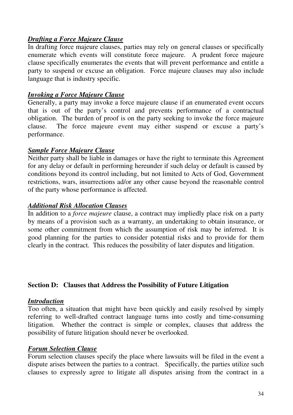#### *Drafting a Force Majeure Clause*

In drafting force majeure clauses, parties may rely on general clauses or specifically enumerate which events will constitute force majeure. A prudent force majeure clause specifically enumerates the events that will prevent performance and entitle a party to suspend or excuse an obligation. Force majeure clauses may also include language that is industry specific.

#### *Invoking a Force Majeure Clause*

Generally, a party may invoke a force majeure clause if an enumerated event occurs that is out of the party's control and prevents performance of a contractual obligation. The burden of proof is on the party seeking to invoke the force majeure clause. The force majeure event may either suspend or excuse a party's performance.

#### *Sample Force Majeure Clause*

Neither party shall be liable in damages or have the right to terminate this Agreement for any delay or default in performing hereunder if such delay or default is caused by conditions beyond its control including, but not limited to Acts of God, Government restrictions, wars, insurrections ad/or any other cause beyond the reasonable control of the party whose performance is affected.

# *Additional Risk Allocation Clauses*

In addition to a *force majeure* clause, a contract may impliedly place risk on a party by means of a provision such as a warranty, an undertaking to obtain insurance, or some other commitment from which the assumption of risk may be inferred. It is good planning for the parties to consider potential risks and to provide for them clearly in the contract. This reduces the possibility of later disputes and litigation.

#### **Section D: Clauses that Address the Possibility of Future Litigation**

#### *Introduction*

Too often, a situation that might have been quickly and easily resolved by simply referring to well-drafted contract language turns into costly and time-consuming litigation. Whether the contract is simple or complex, clauses that address the possibility of future litigation should never be overlooked.

#### *Forum Selection Clause*

Forum selection clauses specify the place where lawsuits will be filed in the event a dispute arises between the parties to a contract. Specifically, the parties utilize such clauses to expressly agree to litigate all disputes arising from the contract in a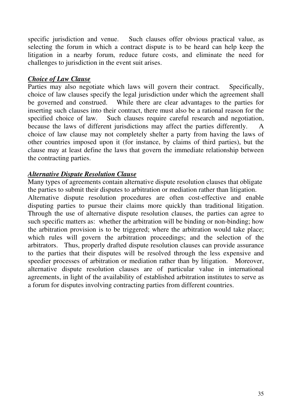specific jurisdiction and venue. Such clauses offer obvious practical value, as selecting the forum in which a contract dispute is to be heard can help keep the litigation in a nearby forum, reduce future costs, and eliminate the need for challenges to jurisdiction in the event suit arises.

#### *Choice of Law Clause*

Parties may also negotiate which laws will govern their contract. Specifically, choice of law clauses specify the legal jurisdiction under which the agreement shall be governed and construed. While there are clear advantages to the parties for inserting such clauses into their contract, there must also be a rational reason for the specified choice of law. Such clauses require careful research and negotiation, because the laws of different jurisdictions may affect the parties differently. A choice of law clause may not completely shelter a party from having the laws of other countries imposed upon it (for instance, by claims of third parties), but the clause may at least define the laws that govern the immediate relationship between the contracting parties.

# *Alternative Dispute Resolution Clause*

Many types of agreements contain alternative dispute resolution clauses that obligate the parties to submit their disputes to arbitration or mediation rather than litigation. Alternative dispute resolution procedures are often cost-effective and enable disputing parties to pursue their claims more quickly than traditional litigation. Through the use of alternative dispute resolution clauses, the parties can agree to such specific matters as: whether the arbitration will be binding or non-binding; how the arbitration provision is to be triggered; where the arbitration would take place; which rules will govern the arbitration proceedings; and the selection of the arbitrators. Thus, properly drafted dispute resolution clauses can provide assurance to the parties that their disputes will be resolved through the less expensive and speedier processes of arbitration or mediation rather than by litigation. Moreover, alternative dispute resolution clauses are of particular value in international agreements, in light of the availability of established arbitration institutes to serve as a forum for disputes involving contracting parties from different countries.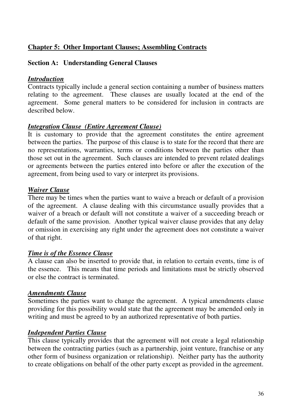# **Chapter 5: Other Important Clauses; Assembling Contracts**

#### **Section A: Understanding General Clauses**

#### *Introduction*

Contracts typically include a general section containing a number of business matters relating to the agreement. These clauses are usually located at the end of the agreement. Some general matters to be considered for inclusion in contracts are described below.

# *Integration Clause (Entire Agreement Clause)*

It is customary to provide that the agreement constitutes the entire agreement between the parties. The purpose of this clause is to state for the record that there are no representations, warranties, terms or conditions between the parties other than those set out in the agreement. Such clauses are intended to prevent related dealings or agreements between the parties entered into before or after the execution of the agreement, from being used to vary or interpret its provisions.

#### *Waiver Clause*

There may be times when the parties want to waive a breach or default of a provision of the agreement. A clause dealing with this circumstance usually provides that a waiver of a breach or default will not constitute a waiver of a succeeding breach or default of the same provision. Another typical waiver clause provides that any delay or omission in exercising any right under the agreement does not constitute a waiver of that right.

#### *Time is of the Essence Clause*

A clause can also be inserted to provide that, in relation to certain events, time is of the essence. This means that time periods and limitations must be strictly observed or else the contract is terminated.

# *Amendments Clause*

Sometimes the parties want to change the agreement. A typical amendments clause providing for this possibility would state that the agreement may be amended only in writing and must be agreed to by an authorized representative of both parties.

# *Independent Parties Clause*

This clause typically provides that the agreement will not create a legal relationship between the contracting parties (such as a partnership, joint venture, franchise or any other form of business organization or relationship). Neither party has the authority to create obligations on behalf of the other party except as provided in the agreement.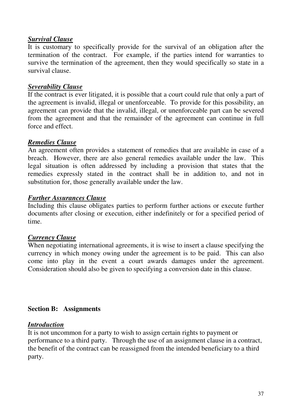# *Survival Clause*

It is customary to specifically provide for the survival of an obligation after the termination of the contract. For example, if the parties intend for warranties to survive the termination of the agreement, then they would specifically so state in a survival clause.

# *Severability Clause*

If the contract is ever litigated, it is possible that a court could rule that only a part of the agreement is invalid, illegal or unenforceable. To provide for this possibility, an agreement can provide that the invalid, illegal, or unenforceable part can be severed from the agreement and that the remainder of the agreement can continue in full force and effect.

# *Remedies Clause*

An agreement often provides a statement of remedies that are available in case of a breach. However, there are also general remedies available under the law. This legal situation is often addressed by including a provision that states that the remedies expressly stated in the contract shall be in addition to, and not in substitution for, those generally available under the law.

# *Further Assurances Clause*

Including this clause obligates parties to perform further actions or execute further documents after closing or execution, either indefinitely or for a specified period of time.

# *Currency Clause*

When negotiating international agreements, it is wise to insert a clause specifying the currency in which money owing under the agreement is to be paid. This can also come into play in the event a court awards damages under the agreement. Consideration should also be given to specifying a conversion date in this clause.

# **Section B: Assignments**

# *Introduction*

It is not uncommon for a party to wish to assign certain rights to payment or performance to a third party. Through the use of an assignment clause in a contract, the benefit of the contract can be reassigned from the intended beneficiary to a third party.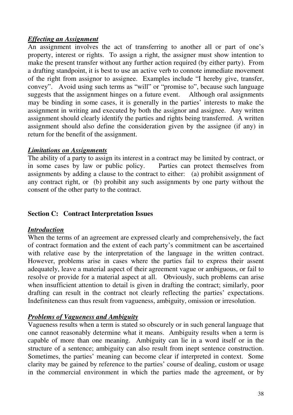# *Effecting an Assignment*

An assignment involves the act of transferring to another all or part of one's property, interest or rights. To assign a right, the assigner must show intention to make the present transfer without any further action required (by either party). From a drafting standpoint, it is best to use an active verb to connote immediate movement of the right from assignor to assignee. Examples include "I hereby give, transfer, convey". Avoid using such terms as "will" or "promise to", because such language suggests that the assignment hinges on a future event. Although oral assignments may be binding in some cases, it is generally in the parties' interests to make the assignment in writing and executed by both the assignor and assignee. Any written assignment should clearly identify the parties and rights being transferred. A written assignment should also define the consideration given by the assignee (if any) in return for the benefit of the assignment.

# *Limitations on Assignments*

The ability of a party to assign its interest in a contract may be limited by contract, or in some cases by law or public policy. Parties can protect themselves from assignments by adding a clause to the contract to either: (a) prohibit assignment of any contract right, or (b) prohibit any such assignments by one party without the consent of the other party to the contract.

# **Section C: Contract Interpretation Issues**

# *Introduction*

When the terms of an agreement are expressed clearly and comprehensively, the fact of contract formation and the extent of each party's commitment can be ascertained with relative ease by the interpretation of the language in the written contract. However, problems arise in cases where the parties fail to express their assent adequately, leave a material aspect of their agreement vague or ambiguous, or fail to resolve or provide for a material aspect at all. Obviously, such problems can arise when insufficient attention to detail is given in drafting the contract; similarly, poor drafting can result in the contract not clearly reflecting the parties' expectations. Indefiniteness can thus result from vagueness, ambiguity, omission or irresolution.

# *Problems of Vagueness and Ambiguity*

Vagueness results when a term is stated so obscurely or in such general language that one cannot reasonably determine what it means. Ambiguity results when a term is capable of more than one meaning. Ambiguity can lie in a word itself or in the structure of a sentence; ambiguity can also result from inept sentence construction. Sometimes, the parties' meaning can become clear if interpreted in context. Some clarity may be gained by reference to the parties' course of dealing, custom or usage in the commercial environment in which the parties made the agreement, or by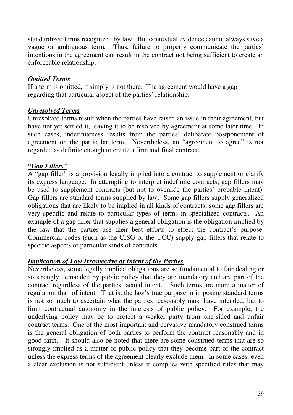standardized terms recognized by law. But contextual evidence cannot always save a vague or ambiguous term. Thus, failure to properly communicate the parties' intentions in the agreement can result in the contract not being sufficient to create an enforceable relationship.

# *Omitted Terms*

If a term is omitted, it simply is not there. The agreement would have a gap regarding that particular aspect of the parties' relationship.

# *Unresolved Terms*

Unresolved terms result when the parties have raised an issue in their agreement, but have not yet settled it, leaving it to be resolved by agreement at some later time. In such cases, indefiniteness results from the parties' deliberate postponement of agreement on the particular term. Nevertheless, an "agreement to agree" is not regarded as definite enough to create a firm and final contract.

# *"Gap Fillers"*

A "gap filler" is a provision legally implied into a contract to supplement or clarify its express language. In attempting to interpret indefinite contracts, gap fillers may be used to supplement contracts (but not to override the parties' probable intent). Gap fillers are standard terms supplied by law. Some gap fillers supply generalized obligations that are likely to be implied in all kinds of contracts; some gap fillers are very specific and relate to particular types of terms in specialized contracts. An example of a gap filler that supplies a general obligation is the obligation implied by the law that the parties use their best efforts to effect the contract's purpose. Commercial codes (such as the CISG or the UCC) supply gap fillers that relate to specific aspects of particular kinds of contracts.

# *Implication of Law Irrespective of Intent of the Parties*

Nevertheless, some legally implied obligations are so fundamental to fair dealing or so strongly demanded by public policy that they are mandatory and are part of the contract regardless of the parties' actual intent. Such terms are more a matter of regulation than of intent. That is, the law's true purpose in imposing standard terms is not so much to ascertain what the parties reasonably must have intended, but to limit contractual autonomy in the interests of public policy. For example, the underlying policy may be to protect a weaker party from one-sided and unfair contract terms. One of the most important and pervasive mandatory construed terms is the general obligation of both parties to perform the contract reasonably and in good faith. It should also be noted that there are some construed terms that are so strongly implied as a matter of public policy that they become part of the contract unless the express terms of the agreement clearly exclude them. In some cases, even a clear exclusion is not sufficient unless it complies with specified rules that may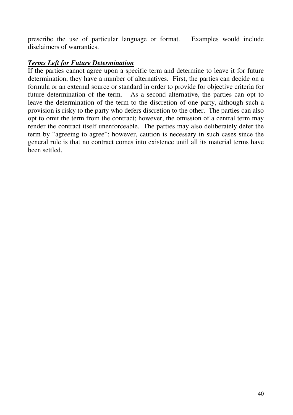prescribe the use of particular language or format. Examples would include disclaimers of warranties.

# *Terms Left for Future Determination*

If the parties cannot agree upon a specific term and determine to leave it for future determination, they have a number of alternatives. First, the parties can decide on a formula or an external source or standard in order to provide for objective criteria for future determination of the term. As a second alternative, the parties can opt to leave the determination of the term to the discretion of one party, although such a provision is risky to the party who defers discretion to the other. The parties can also opt to omit the term from the contract; however, the omission of a central term may render the contract itself unenforceable. The parties may also deliberately defer the term by "agreeing to agree"; however, caution is necessary in such cases since the general rule is that no contract comes into existence until all its material terms have been settled.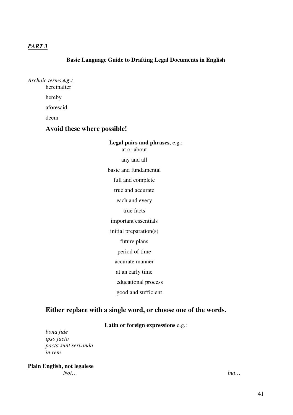## *PART 3*

#### **Basic Language Guide to Drafting Legal Documents in English**

| Archaic terms <b>e.g.:</b> |  |
|----------------------------|--|
| hereinafter                |  |
| hereby                     |  |

aforesaid

deem

## **Avoid these where possible!**

**Legal pairs and phrases**, e.g.: at or about any and all basic and fundamental full and complete true and accurate each and every true facts important essentials initial preparation(s) future plans period of time accurate manner at an early time educational process good and sufficient

## **Either replace with a single word, or choose one of the words.**

#### **Latin or foreign expressions** e.g.:

*bona fide ipso facto pacta sunt servanda in rem*

**Plain English, not legalese** *Not… but…*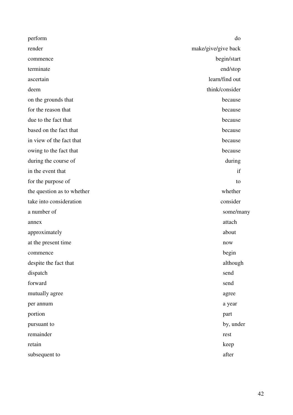| perform                    | do                  |
|----------------------------|---------------------|
| render                     | make/give/give back |
| commence                   | begin/start         |
| terminate                  | end/stop            |
| ascertain                  | learn/find out      |
| deem                       | think/consider      |
| on the grounds that        | because             |
| for the reason that        | because             |
| due to the fact that       | because             |
| based on the fact that     | because             |
| in view of the fact that   | because             |
| owing to the fact that     | because             |
| during the course of       | during              |
| in the event that          | if                  |
| for the purpose of         | to                  |
| the question as to whether | whether             |
| take into consideration    | consider            |
| a number of                | some/many           |
| annex                      | attach              |
| approximately              | about               |
| at the present time        | now                 |
| commence                   | begin               |
| despite the fact that      | although            |
| dispatch                   | send                |
| forward                    | send                |
| mutually agree             | agree               |
| per annum                  | a year              |
| portion                    | part                |
| pursuant to                | by, under           |
| remainder                  | rest                |
| retain                     | keep                |
| subsequent to              | after               |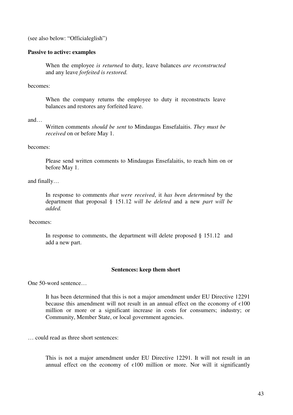(see also below: "Officialeglish")

#### **Passive to active: examples**

When the employee *is returned* to duty, leave balances *are reconstructed* and any leave *forfeited is restored.*

becomes:

When the company returns the employee to duty it reconstructs leave balances and restores any forfeited leave.

and…

Written comments *should be sent* to Mindaugas Ensefalaitis. *They must be received* on or before May 1.

#### becomes:

Please send written comments to Mindaugas Ensefalaitis, to reach him on or before May 1.

and finally…

In response to comments *that were received*, it *has been determined* by the department that proposal § 151.12 *will be deleted* and a new *part will be added.*

becomes:

In response to comments, the department will delete proposed § 151.12 and add a new part.

#### **Sentences: keep them short**

One 50-word sentence…

It has been determined that this is not a major amendment under EU Directive 12291 because this amendment will not result in an annual effect on the economy of  $\varepsilon$ 100 million or more or a significant increase in costs for consumers; industry; or Community, Member State, or local government agencies.

… could read as three short sentences:

This is not a major amendment under EU Directive 12291. It will not result in an annual effect on the economy of  $\varepsilon$ 100 million or more. Nor will it significantly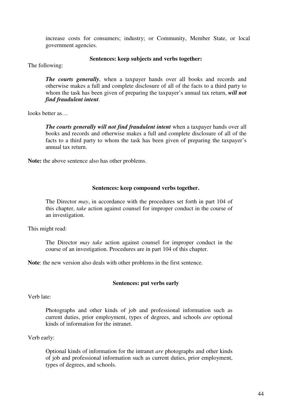increase costs for consumers; industry; or Community, Member State, or local government agencies.

#### **Sentences: keep subjects and verbs together:**

The following:

*The courts generally*, when a taxpayer hands over all books and records and otherwise makes a full and complete disclosure of all of the facts to a third party to whom the task has been given of preparing the taxpayer's annual tax return, *will not find fraudulent intent*.

looks better as…

*The courts generally will not find fraudulent intent* when a taxpayer hands over all books and records and otherwise makes a full and complete disclosure of all of the facts to a third party to whom the task has been given of preparing the taxpayer's annual tax return.

**Note:** the above sentence also has other problems.

#### **Sentences: keep compound verbs together.**

The Director *may*, in accordance with the procedures set forth in part 104 of this chapter, *take* action against counsel for improper conduct in the course of an investigation.

This might read:

The Director *may take* action against counsel for improper conduct in the course of an investigation. Procedures are in part 104 of this chapter.

**Note**: the new version also deals with other problems in the first sentence.

#### **Sentences: put verbs early**

Verb late:

Photographs and other kinds of job and professional information such as current duties, prior employment, types of degrees, and schools *are* optional kinds of information for the intranet.

Verb early:

Optional kinds of information for the intranet *are* photographs and other kinds of job and professional information such as current duties, prior employment, types of degrees, and schools.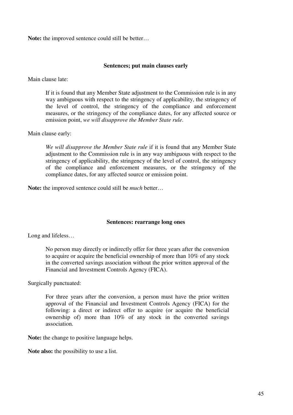**Note:** the improved sentence could still be better…

#### **Sentences; put main clauses early**

Main clause late:

If it is found that any Member State adjustment to the Commission rule is in any way ambiguous with respect to the stringency of applicability, the stringency of the level of control, the stringency of the compliance and enforcement measures, or the stringency of the compliance dates, for any affected source or emission point, *we will disapprove the Member State rule*.

Main clause early:

*We will disapprove the Member State rule* if it is found that any Member State adjustment to the Commission rule is in any way ambiguous with respect to the stringency of applicability, the stringency of the level of control, the stringency of the compliance and enforcement measures, or the stringency of the compliance dates, for any affected source or emission point.

**Note:** the improved sentence could still be *much* better…

#### **Sentences: rearrange long ones**

Long and lifeless…

No person may directly or indirectly offer for three years after the conversion to acquire or acquire the beneficial ownership of more than 10% of any stock in the converted savings association without the prior written approval of the Financial and Investment Controls Agency (FICA).

Surgically punctuated:

For three years after the conversion, a person must have the prior written approval of the Financial and Investment Controls Agency (FICA) for the following: a direct or indirect offer to acquire (or acquire the beneficial ownership of) more than 10% of any stock in the converted savings association.

**Note:** the change to positive language helps.

**Note also:** the possibility to use a list.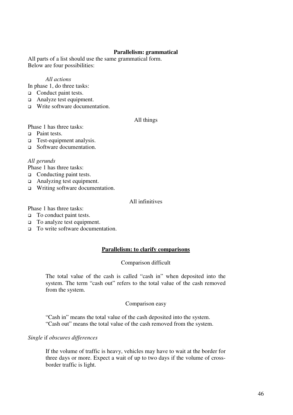#### **Parallelism: grammatical**

All parts of a list should use the same grammatical form. Below are four possibilities:

#### *All actions*

In phase 1, do three tasks:

- □ Conduct paint tests.
- □ Analyze test equipment.
- $\Box$  Write software documentation.

#### All things

Phase 1 has three tasks:

- □ Paint tests.
- □ Test-equipment analysis.
- □ Software documentation.

#### *All gerunds*

Phase 1 has three tasks:

- $\Box$  Conducting paint tests.
- Analyzing test equipment.
- □ Writing software documentation.

#### All infinitives

Phase 1 has three tasks:

- $\Box$  To conduct paint tests.
- To analyze test equipment.
- To write software documentation.

#### **Parallelism: to clarify comparisons**

#### Comparison difficult

The total value of the cash is called "cash in" when deposited into the system. The term "cash out" refers to the total value of the cash removed from the system.

#### Comparison easy

"Cash in" means the total value of the cash deposited into the system. "Cash out" means the total value of the cash removed from the system.

#### *Single* if *obscures differences*

If the volume of traffic is heavy, vehicles may have to wait at the border for three days or more. Expect a wait of up to two days if the volume of crossborder traffic is light.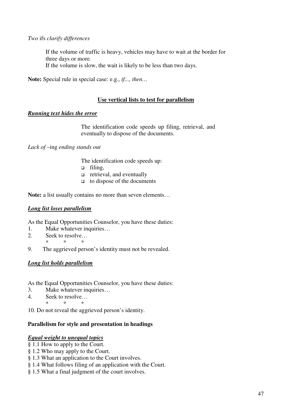## *Two* ifs *clarify differences*

If the volume of traffic is heavy, vehicles may have to wait at the border for three days or more.

If the volume is slow, the wait is likely to be less than two days.

**Note:** Special rule in special case: e.g., *if..., then…*

## **Use vertical lists to test for parallelism**

#### *Running text hides the error*

The identification code speeds up filing, retrieval, and eventually to dispose of the documents.

*Lack of* –ing *ending stands out*

The identification code speeds up:

- filing,
- $\Box$  retrieval, and eventually
- $\Box$  to dispose of the documents

**Note:** a list usually contains no more than seven elements…

#### *Long list loses parallelism*

As the Equal Opportunities Counselor, you have these duties:

- 1. Make whatever inquiries…
- 2. Seek to resolve…
- \* \* \*
- 9. The aggrieved person's identity must not be revealed.

## *Long list holds parallelism*

As the Equal Opportunities Counselor, you have these duties:

- 3. Make whatever inquiries…
- 4. Seek to resolve…

\* \* \* 10. Do not reveal the aggrieved person's identity.

## **Parallelism for style and presentation in headings**

#### *Equal weight to unequal topics*

- § 1.1 How to apply to the Court.
- § 1.2 Who may apply to the Court.
- § 1.3 What an application to the Court involves.
- § 1.4 What follows filing of an application with the Court.
- § 1.5 What a final judgment of the court involves.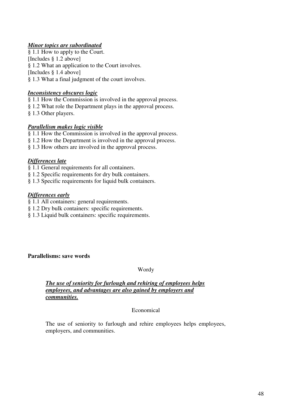## *Minor topics are subordinated*

§ 1.1 How to apply to the Court. [Includes § 1.2 above] § 1.2 What an application to the Court involves. [Includes § 1.4 above] § 1.3 What a final judgment of the court involves.

## *Inconsistency obscures logic*

§ 1.1 How the Commission is involved in the approval process.

- § 1.2 What role the Department plays in the approval process.
- § 1.3 Other players.

## *Parallelism makes logic visible*

§ 1.1 How the Commission is involved in the approval process.

- § 1.2 How the Department is involved in the approval process.
- § 1.3 How others are involved in the approval process.

## *Differences late*

- § 1.1 General requirements for all containers.
- § 1.2 Specific requirements for dry bulk containers.
- § 1.3 Specific requirements for liquid bulk containers.

## *Differences early*

- § 1.1 All containers: general requirements.
- § 1.2 Dry bulk containers: specific requirements.
- § 1.3 Liquid bulk containers: specific requirements.

#### **Parallelisms: save words**

## Wordy

## *The use of seniority for furlough and rehiring of employees helps employees, and advantages are also gained by employers and communities.*

## Economical

The use of seniority to furlough and rehire employees helps employees, employers, and communities.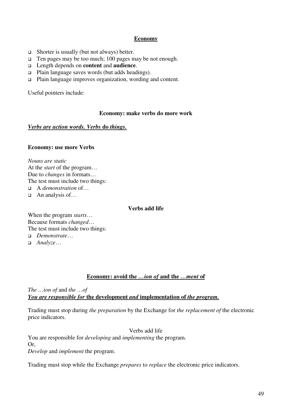## **Economy**

- $\Box$  Shorter is usually (but not always) better.
- $\Box$  Ten pages may be too much; 100 pages may be not enough.
- Length depends on **content** and **audience**.
- Plain language saves words (but adds headings).
- Plain language improves organization, wording and content.

Useful pointers include:

#### **Economy: make verbs do more work**

## *Verbs are action words. Verbs* **do** *things.*

### **Economy: use more Verbs**

*Nouns are static* At the *start* of the program… Due to *changes* in formats… The test must include two things: A *demonstration* of…

 $\Box$  An analysis of...

#### **Verbs add life**

When the program *starts*… Because formats *changed*… The test must include two things:

- *Demonstrate*…
- *Analyze*…

## **Economy: avoid the** *…ion of* **and the** *…ment* **of**

*The …ion of* and *the …of You are responsible for* **the development** *and* **implementation of** *the program.*

Trading must stop during *the preparation* by the Exchange for *the replacement of* the electronic price indicators.

Verbs add life

You are responsible for *developing* and *implementing* the program. Or, *Develop* and *implement* the program.

Trading must stop while the Exchange *prepares* to *replace* the electronic price indicators.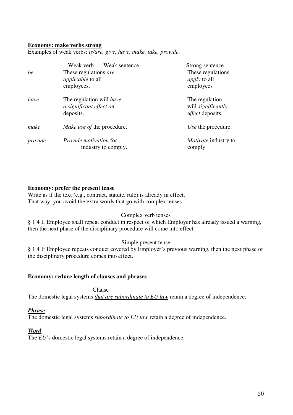#### **Economy: make verbs strong**

Examples of weak verbs: *is/are, give, have, make, take, provide*.

| be      | Weak sentence<br>Weak verb<br>These regulations are<br><i>applicable</i> to all<br>employees. | Strong sentence<br>These regulations<br><i>apply</i> to all<br>employees |
|---------|-----------------------------------------------------------------------------------------------|--------------------------------------------------------------------------|
| have    | The regulation will have<br>a significant effect on<br>deposits.                              | The regulation<br>will <i>significantly</i><br><i>affect</i> deposits.   |
| make    | Make use of the procedure.                                                                    | Use the procedure.                                                       |
| provide | Provide motivation for<br>industry to comply.                                                 | <i>Motivate</i> industry to<br>comply                                    |

#### **Economy: prefer the present tense**

Write as if the text (e.g., contract, statute, rule) is already in effect. That way, you avoid the extra words that go with complex tenses.

#### Complex verb tenses

§ 1.4 If Employee shall repeat conduct in respect of which Employer has already issued a warning, then the next phase of the disciplinary procedure will come into effect.

#### Simple present tense

§ 1.4 If Employee repeats conduct covered by Employer's previous warning, then the next phase of the disciplinary procedure comes into effect.

#### **Economy: reduce length of clauses and phrases**

Clause

The domestic legal systems *that are subordinate to EU law* retain a degree of independence.

#### *Phrase*

The domestic legal systems *subordinate to EU law* retain a degree of independence.

#### *Word*

The *EU*'s domestic legal systems retain a degree of independence.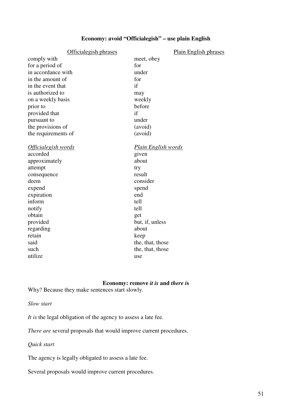# **Economy: avoid "Officialegish" – use plain English**

| Officialegish phrases      | <b>Plain English phrases</b> |
|----------------------------|------------------------------|
| comply with                | meet, obey                   |
| for a period of            | for                          |
| in accordance with         | under                        |
| in the amount of           | for                          |
| in the event that          | if                           |
| is authorized to           | may                          |
| on a weekly basis          | weekly                       |
| prior to                   | before                       |
| provided that              | if                           |
| pursuant to                | under                        |
| the provisions of          | (avoid)                      |
| the requirements of        | (avoid)                      |
|                            |                              |
| <u>Officialegish words</u> | <b>Plain English words</b>   |
| accorded                   | given                        |
| approximately              | about                        |
| attempt                    | try                          |
| consequence                | result                       |
| deem                       | consider                     |
| expend                     | spend                        |
| expiration                 | end                          |
| inform                     | tell                         |
| notify                     | tell                         |
| obtain                     | get                          |
| provided                   | but, if, unless              |
| regarding                  | about                        |
| retain                     | keep                         |
| said                       | the, that, those             |
| such                       | the, that, those             |
| utilize                    | use                          |

## **Economy: remove** *it is* **and** *there i***s**

Why? Because they make sentences start slowly.

*Slow start*

*It is* the legal obligation of the agency to assess a late fee.

*There are* several proposals that would improve current procedures.

*Quick start*

The agency is legally obligated to assess a late fee.

Several proposals would improve current procedures.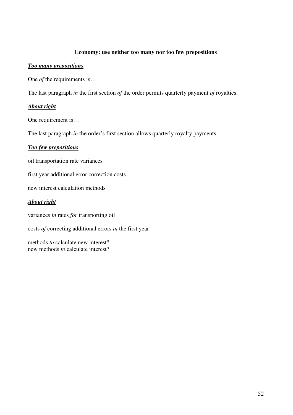### **Economy: use neither too many nor too few prepositions**

#### *Too many prepositions*

One *of* the requirements is…

The last paragraph *in* the first section *of* the order permits quarterly payment *of* royalties.

## *About right*

One requirement is…

The last paragraph *in* the order's first section allows quarterly royalty payments.

### *Too few prepositions*

oil transportation rate variances

first year additional error correction costs

new interest calculation methods

## *About right*

variances *in* rates *for* transporting oil

costs *of* correcting additional errors *in* the first year

methods *to* calculate new interest? new methods *to* calculate interest?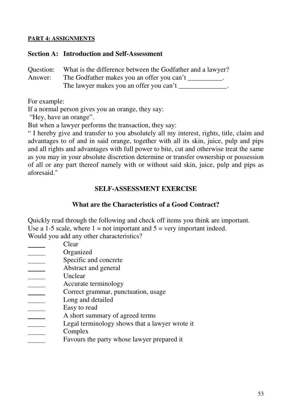## **PART 4: ASSIGNMENTS**

## **Section A: Introduction and Self-Assessment**

|         | Question: What is the difference between the Godfather and a lawyer? |
|---------|----------------------------------------------------------------------|
| Answer: | The Godfather makes you an offer you can't                           |
|         | The lawyer makes you an offer you can't                              |

For example:

If a normal person gives you an orange, they say:

"Hey, have an orange".

But when a lawyer performs the transaction, they say:

" I hereby give and transfer to you absolutely all my interest, rights, title, claim and advantages to of and in said orange, together with all its skin, juice, pulp and pips and all rights and advantages with full power to bite, cut and otherwise treat the same as you may in your absolute discretion determine or transfer ownership or possession of all or any part thereof namely with or without said skin, juice, pulp and pips as aforesaid."

# **SELF-ASSESSMENT EXERCISE**

# **What are the Characteristics of a Good Contract?**

wrote it

Quickly read through the following and check off items you think are important. Use a 1-5 scale, where  $1 = not important and 5 = very important indeed.$ Would you add any other characteristics?

| Clear                                      |
|--------------------------------------------|
| Organized                                  |
| Specific and concrete                      |
| Abstract and general                       |
| Unclear                                    |
| Accurate terminology                       |
| Correct grammar, punctuation, usage        |
| Long and detailed                          |
| Easy to read                               |
| A short summary of agreed terms            |
| Legal terminology shows that a lawyer wro  |
| Complex                                    |
| Favours the party whose lawyer prepared it |
|                                            |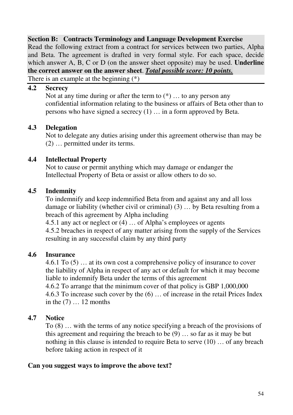# **Section B: Contracts Terminology and Language Development Exercise**

Read the following extract from a contract for services between two parties, Alpha and Beta. The agreement is drafted in very formal style. For each space, decide which answer A, B, C or D (on the answer sheet opposite) may be used. **Underline the correct answer on the answer sheet**. *Total possible score: 10 points.*

There is an example at the beginning (\*)

## **4.2 Secrecy**

Not at any time during or after the term to  $(*)$  ... to any person any confidential information relating to the business or affairs of Beta other than to persons who have signed a secrecy (1) … in a form approved by Beta.

# **4.3 Delegation**

Not to delegate any duties arising under this agreement otherwise than may be (2) … permitted under its terms.

# **4.4 Intellectual Property**

Not to cause or permit anything which may damage or endanger the Intellectual Property of Beta or assist or allow others to do so.

# **4.5 Indemnity**

To indemnify and keep indemnified Beta from and against any and all loss damage or liability (whether civil or criminal) (3) … by Beta resulting from a breach of this agreement by Alpha including

4.5.1 any act or neglect or (4) … of Alpha's employees or agents 4.5.2 breaches in respect of any matter arising from the supply of the Services resulting in any successful claim by any third party

# **4.6 Insurance**

4.6.1 To (5) … at its own cost a comprehensive policy of insurance to cover the liability of Alpha in respect of any act or default for which it may become liable to indemnify Beta under the terms of this agreement

4.6.2 To arrange that the minimum cover of that policy is GBP 1,000,000 4.6.3 To increase such cover by the (6) … of increase in the retail Prices Index in the (7) … 12 months

# **4.7 Notice**

To (8) … with the terms of any notice specifying a breach of the provisions of this agreement and requiring the breach to be  $(9)$  ... so far as it may be but nothing in this clause is intended to require Beta to serve (10) … of any breach before taking action in respect of it

# **Can you suggest ways to improve the above text?**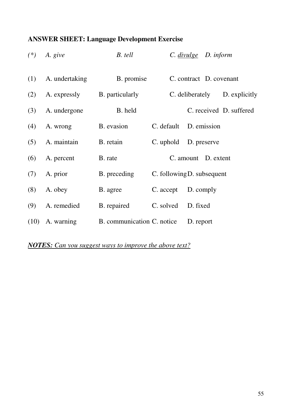# **ANSWER SHEET: Language Development Exercise**

| $(*)$ | A. give        | B. tell                    |                            | C. divulge D. inform |                               |
|-------|----------------|----------------------------|----------------------------|----------------------|-------------------------------|
| (1)   | A. undertaking | B. promise                 |                            |                      | C. contract D. covenant       |
| (2)   | A. expressly   | B. particularly            |                            |                      | C. deliberately D. explicitly |
| (3)   | A. undergone   | B. held                    |                            |                      | C. received D. suffered       |
| (4)   | A. wrong       | B. evasion                 | C. default                 | D. emission          |                               |
| (5)   | A. maintain    | B. retain                  | C. uphold                  | D. preserve          |                               |
| (6)   | A. percent     | B. rate                    |                            | C. amount D. extent  |                               |
| (7)   | A. prior       | B. preceding               | C. following D. subsequent |                      |                               |
| (8)   | A. obey        | B. agree                   | C. accept                  | D. comply            |                               |
| (9)   | A. remedied    | B. repaired                | C. solved                  | D. fixed             |                               |
| (10)  | A. warning     | B. communication C. notice |                            | D. report            |                               |

*NOTES: Can you suggest ways to improve the above text?*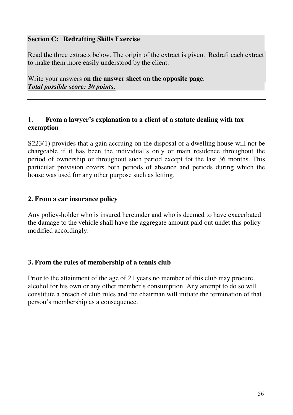# **Section C: Redrafting Skills Exercise**

Read the three extracts below. The origin of the extract is given. Redraft each extract to make them more easily understood by the client.

Write your answers **on the answer sheet on the opposite page**. *Total possible score: 30 points.*

# 1. **From a lawyer's explanation to a client of a statute dealing with tax exemption**

S223(1) provides that a gain accruing on the disposal of a dwelling house will not be chargeable if it has been the individual's only or main residence throughout the period of ownership or throughout such period except fot the last 36 months. This particular provision covers both periods of absence and periods during which the house was used for any other purpose such as letting.

# **2. From a car insurance policy**

Any policy-holder who is insured hereunder and who is deemed to have exacerbated the damage to the vehicle shall have the aggregate amount paid out undet this policy modified accordingly.

# **3. From the rules of membership of a tennis club**

Prior to the attainment of the age of 21 years no member of this club may procure alcohol for his own or any other member's consumption. Any attempt to do so will constitute a breach of club rules and the chairman will initiate the termination of that person's membership as a consequence.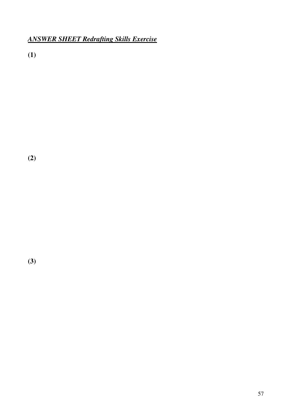# *ANSWER SHEET Redrafting Skills Exercise*

**(1)**

**(2)**

**(3)**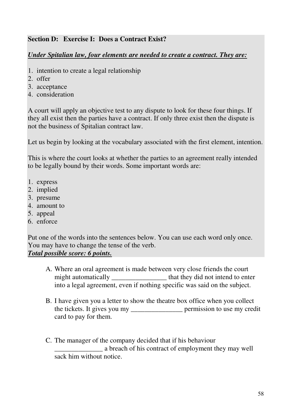# **Section D: Exercise I: Does a Contract Exist?**

# *Under Spitalian law, four elements are needed to create a contract. They are:*

- 1. intention to create a legal relationship
- 2. offer
- 3. acceptance
- 4. consideration

A court will apply an objective test to any dispute to look for these four things. If they all exist then the parties have a contract. If only three exist then the dispute is not the business of Spitalian contract law.

Let us begin by looking at the vocabulary associated with the first element, intention.

This is where the court looks at whether the parties to an agreement really intended to be legally bound by their words. Some important words are:

- 1. express
- 2. implied
- 3. presume
- 4. amount to
- 5. appeal
- 6. enforce

Put one of the words into the sentences below. You can use each word only once. You may have to change the tense of the verb.

# *Total possible score: 6 points.*

- A. Where an oral agreement is made between very close friends the court might automatically \_\_\_\_\_\_\_\_\_\_\_\_\_\_\_\_\_\_\_\_ that they did not intend to enter into a legal agreement, even if nothing specific was said on the subject.
- B. I have given you a letter to show the theatre box office when you collect the tickets. It gives you my \_\_\_\_\_\_\_\_\_\_\_\_\_\_\_ permission to use my credit card to pay for them.
- C. The manager of the company decided that if his behaviour a breach of his contract of employment they may well sack him without notice.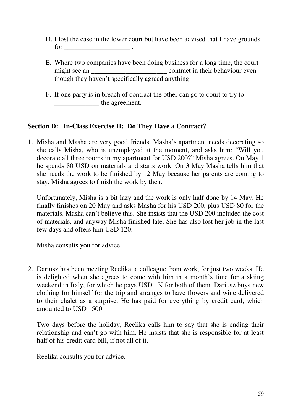- D. I lost the case in the lower court but have been advised that I have grounds  $for \t\t\t\t\t...$
- E. Where two companies have been doing business for a long time, the court might see an \_\_\_\_\_\_\_\_\_\_\_\_\_\_\_\_\_\_\_\_\_\_ contract in their behaviour even though they haven't specifically agreed anything.
- F. If one party is in breach of contract the other can go to court to try to \_\_\_\_\_\_\_\_\_\_\_\_\_ the agreement.

# **Section D: In-Class Exercise II: Do They Have a Contract?**

1. Misha and Masha are very good friends. Masha's apartment needs decorating so she calls Misha, who is unemployed at the moment, and asks him: "Will you decorate all three rooms in my apartment for USD 200?" Misha agrees. On May 1 he spends 80 USD on materials and starts work. On 3 May Masha tells him that she needs the work to be finished by 12 May because her parents are coming to stay. Misha agrees to finish the work by then.

Unfortunately, Misha is a bit lazy and the work is only half done by 14 May. He finally finishes on 20 May and asks Masha for his USD 200, plus USD 80 for the materials. Masha can't believe this. She insists that the USD 200 included the cost of materials, and anyway Misha finished late. She has also lost her job in the last few days and offers him USD 120.

Misha consults you for advice.

2. Dariusz has been meeting Reelika, a colleague from work, for just two weeks. He is delighted when she agrees to come with him in a month's time for a skiing weekend in Italy, for which he pays USD 1K for both of them. Dariusz buys new clothing for himself for the trip and arranges to have flowers and wine delivered to their chalet as a surprise. He has paid for everything by credit card, which amounted to USD 1500.

Two days before the holiday, Reelika calls him to say that she is ending their relationship and can't go with him. He insists that she is responsible for at least half of his credit card bill, if not all of it.

Reelika consults you for advice.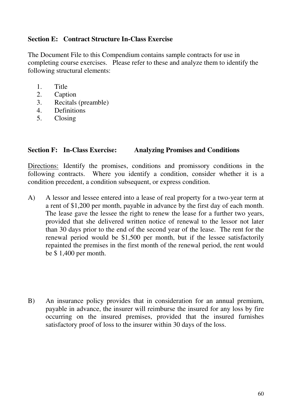# **Section E: Contract Structure In-Class Exercise**

The Document File to this Compendium contains sample contracts for use in completing course exercises. Please refer to these and analyze them to identify the following structural elements:

- 1. Title
- 2. Caption
- 3. Recitals (preamble)
- 4. Definitions
- 5. Closing

# **Section F: In-Class Exercise: Analyzing Promises and Conditions**

Directions: Identify the promises, conditions and promissory conditions in the following contracts. Where you identify a condition, consider whether it is a condition precedent, a condition subsequent, or express condition.

- A) A lessor and lessee entered into a lease of real property for a two-year term at a rent of \$1,200 per month, payable in advance by the first day of each month. The lease gave the lessee the right to renew the lease for a further two years, provided that she delivered written notice of renewal to the lessor not later than 30 days prior to the end of the second year of the lease. The rent for the renewal period would be \$1,500 per month, but if the lessee satisfactorily repainted the premises in the first month of the renewal period, the rent would be \$ 1,400 per month.
- B) An insurance policy provides that in consideration for an annual premium, payable in advance, the insurer will reimburse the insured for any loss by fire occurring on the insured premises, provided that the insured furnishes satisfactory proof of loss to the insurer within 30 days of the loss.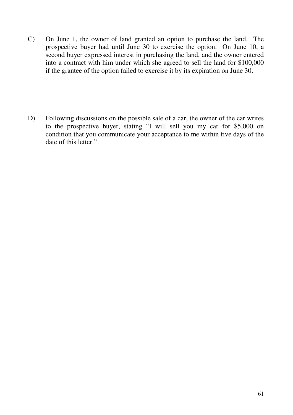- C) On June 1, the owner of land granted an option to purchase the land. The prospective buyer had until June 30 to exercise the option. On June 10, a second buyer expressed interest in purchasing the land, and the owner entered into a contract with him under which she agreed to sell the land for \$100,000 if the grantee of the option failed to exercise it by its expiration on June 30.
- D) Following discussions on the possible sale of a car, the owner of the car writes to the prospective buyer, stating "I will sell you my car for \$5,000 on condition that you communicate your acceptance to me within five days of the date of this letter."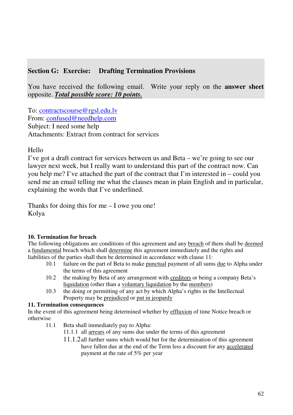# **Section G: Exercise: Drafting Termination Provisions**

You have received the following email. Write your reply on the **answer sheet** opposite. *Total possible score: 10 points.*

To: contractscourse@rgsl.edu.lv From: confused@needhelp.com Subject: I need some help Attachments: Extract from contract for services

# Hello

I've got a draft contract for services between us and Beta – we're going to see our lawyer next week, but I really want to understand this part of the contract now. Can you help me? I've attached the part of the contract that I'm interested in – could you send me an email telling me what the clauses mean in plain English and in particular, explaining the words that I've underlined.

Thanks for doing this for me – I owe you one! Kolya

# **10. Termination for breach**

The following obligations are conditions of this agreement and any breach of them shall be deemed a fundamental breach which shall determine this agreement immediately and the rights and liabilities of the parties shall then be determined in accordance with clause 11:

- 10.1 failure on the part of Beta to make punctual payment of all sums due to Alpha under the terms of this agreement
- 10.2 the making by Beta of any arrangement with creditors or being a company Beta's liquidation (other than a voluntary liquidation by the members)
- 10.3 the doing or permitting of any act by which Alpha's rights in the Intellectual Property may be prejudiced or put in jeopardy

## **11. Termination consequences**

In the event of this agreement being determined whether by effluxion of time Notice breach or otherwise

- 11.1 Beta shall immediately pay to Alpha:
	- 11.1.1 all arrears of any sums due under the terms of this agreement
	- 11.1.2all further sums which would but for the determination of this agreement have fallen due at the end of the Term less a discount for any accelerated payment at the rate of 5% per year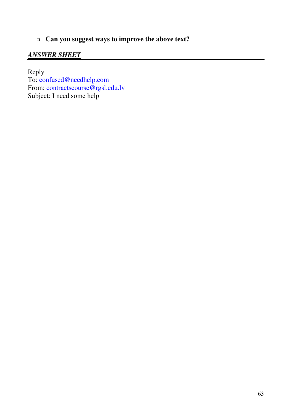# **Can you suggest ways to improve the above text?**

# *ANSWER SHEET*

Reply To: confused@needhelp.com From: contractscourse@rgsl.edu.lv Subject: I need some help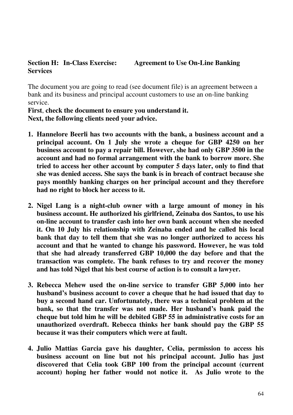# **Section H: In-Class Exercise: Agreement to Use On-Line Banking Services**

The document you are going to read (see document file) is an agreement between a bank and its business and principal account customers to use an on-line banking service.

**First**, **check the document to ensure you understand it. Next, the following clients need your advice.**

- **1. Hannelore Beerli has two accounts with the bank, a business account and a principal account. On 1 July she wrote a cheque for GBP 4250 on her business account to pay a repair bill. However, she had only GBP 3500 in the account and had no formal arrangement with the bank to borrow more. She tried to access her other account by computer 5 days later, only to find that she was denied access. She says the bank is in breach of contract because she pays monthly banking charges on her principal account and they therefore had no right to block her access to it.**
- **2. Nigel Lang is a night-club owner with a large amount of money in his business account. He authorized his girlfriend, Zeinaba dos Santos, to use his on-line account to transfer cash into her own bank account when she needed it. On 10 July his relationship with Zeinaba ended and he called his local bank that day to tell them that she was no longer authorized to access his account and that he wanted to change his password. However, he was told that she had already transferred GBP 10,000 the day before and that the transaction was complete. The bank refuses to try and recover the money and has told Nigel that his best course of action is to consult a lawyer.**
- **3. Rebecca Mehew used the on-line service to transfer GBP 5,000 into her husband's business account to cover a cheque that he had issued that day to buy a second hand car. Unfortunately, there was a technical problem at the bank, so that the transfer was not made. Her husband's bank paid the cheque but told him he will be debited GBP 55 in administrative costs for an unauthorized overdraft. Rebecca thinks her bank should pay the GBP 55 because it was their computers which were at fault.**
- **4. Julio Mattias Garcia gave his daughter, Celia, permission to access his business account on line but not his principal account. Julio has just discovered that Celia took GBP 100 from the principal account (current account) hoping her father would not notice it. As Julio wrote to the**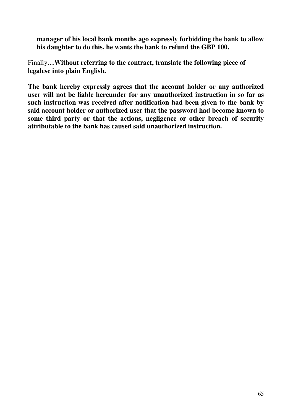**manager of his local bank months ago expressly forbidding the bank to allow his daughter to do this, he wants the bank to refund the GBP 100.**

Finally**…Without referring to the contract, translate the following piece of legalese into plain English.**

**The bank hereby expressly agrees that the account holder or any authorized user will not be liable hereunder for any unauthorized instruction in so far as such instruction was received after notification had been given to the bank by said account holder or authorized user that the password had become known to some third party or that the actions, negligence or other breach of security attributable to the bank has caused said unauthorized instruction.**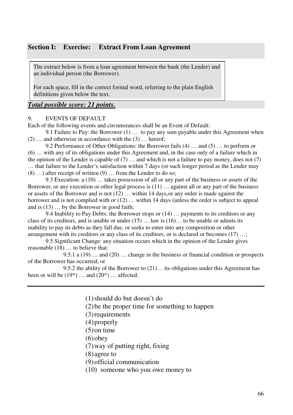## **Section I: Exercise: Extract From Loan Agreement**

The extract below is from a loan agreement between the bank (the Lender) and an individual person (the Borrower).

For each space, fill in the correct formal word, referring to the plain English definitions given below the text.

## *Total possible score: 21 points.*

#### 9. EVENTS OF DEFAULT

Each of the following events and circumstances shall be an Event of Default:

9.1 Failure to Pay: the Borrower (1) … to pay any sum payable under this Agreement when (2) … and otherwise in accordance with the (3) … hereof;

9.2 Performance of Other Obligations: the Borrower fails (4) … and (5) … to perform or (6) … with any of its obligations under this Agreement and, in the case only of a failure which in the opinion of the Lender is capable of  $(7)$  ... and which is not a failure to pay money, does not  $(7)$ … that failure to the Lender's satisfaction within 7 days (or such longer period as the Lender may  $(8)$  ...) after receipt of written  $(9)$  ... from the Lender to do so;

9.3 Execution: a (10) … takes possession of all or any part of the business or assets of the Borrower, or any execution or other legal process is (11) … against all or any part of the business or assets of the Borrower and is not (12) … within 14 days,or any order is made against the borrower and is not complied with or (12) … within 14 days (unless the order is subject to appeal and is (13) … by the Borrower in good faith;

9.4 Inability to Pay Debts: the Borrower stops or (14) … payments to its creditors or any class of its creditors, and is unable or under  $(15)$  ... law is  $(16)$ ... to be unable or admits its inability to pay its debts as they fall due, or seeks to enter into any composition or other arrangement with its creditors or any class of its creditors, or is declared or becomes (17) ...;

9.5 Significant Change: any situation occurs which in the opinion of the Lender gives reasonable (18) … to believe that:

9.5.1 a (19) … and (20) … change in the business or financial condition or prospects of the Borrower has occurred; or

9.5.2 the ability of the Borrower to (21)… its obligations under this Agreement has been or will be  $(19^*)$  ... and  $(20^*)$  ... affected.

(1)should do but doesn't do

(2)be the proper time for something to happen

(3)requirements

- (4)properly
- (5)on time
- $(6)$ obey

(7)way of putting right, fixing

(8) agree to

(9)official communication

(10) someone who you owe money to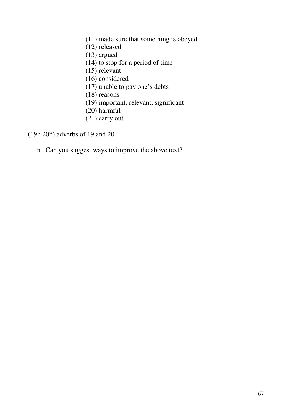- (11) made sure that something is obeyed (12) released (13) argued (14) to stop for a period of time (15) relevant (16) considered (17) unable to pay one's debts (18) reasons (19) important, relevant, significant (20) harmful
- (21) carry out

(19\* 20\*) adverbs of 19 and 20

Can you suggest ways to improve the above text?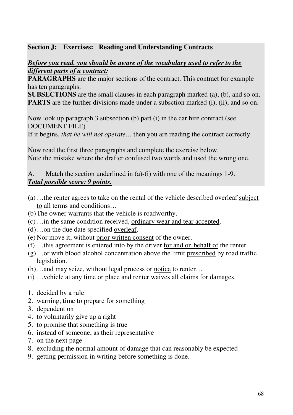# **Section J: Exercises: Reading and Understanding Contracts**

# *Before you read, you should be aware of the vocabulary used to refer to the different parts of a contract:*

**PARAGRAPHS** are the major sections of the contract. This contract for example has ten paragraphs.

**SUBSECTIONS** are the small clauses in each paragraph marked (a), (b), and so on. **PARTS** are the further divisions made under a subsction marked (i), (ii), and so on.

Now look up paragraph 3 subsection (b) part (i) in the car hire contract (see DOCUMENT FILE)

If it begins, *that he will not operate…* then you are reading the contract correctly.

Now read the first three paragraphs and complete the exercise below. Note the mistake where the drafter confused two words and used the wrong one.

A. Match the section underlined in (a)-(i) with one of the meanings 1-9. *Total possible score: 9 points.*

- (a) …the renter agrees to take on the rental of the vehicle described overleaf subject to all terms and conditions…
- (b)The owner warrants that the vehicle is roadworthy.
- (c) …in the same condition received, ordinary wear and tear accepted.
- (d)…on the due date specified overleaf.
- (e) Nor move it, without prior written consent of the owner.
- (f) …this agreement is entered into by the driver for and on behalf of the renter.
- (g)…or with blood alcohol concentration above the limit prescribed by road traffic legislation.
- (h)…and may seize, without legal process or notice to renter…
- (i) …vehicle at any time or place and renter waives all claims for damages.
- 1. decided by a rule
- 2. warning, time to prepare for something
- 3. dependent on
- 4. to voluntarily give up a right
- 5. to promise that something is true
- 6. instead of someone, as their representative
- 7. on the next page
- 8. excluding the normal amount of damage that can reasonably be expected
- 9. getting permission in writing before something is done.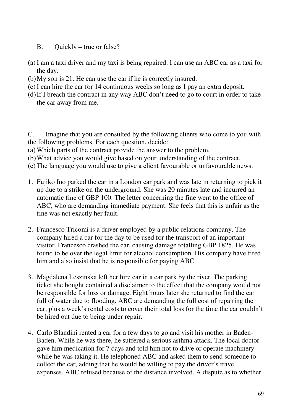- B. Quickly true or false?
- (a) I am a taxi driver and my taxi is being repaired. I can use an ABC car as a taxi for the day.
- (b)My son is 21. He can use the car if he is correctly insured.
- (c) I can hire the car for 14 continuous weeks so long as I pay an extra deposit.
- (d)If I breach the contract in any way ABC don't need to go to court in order to take the car away from me.

C. Imagine that you are consulted by the following clients who come to you with the following problems. For each question, decide:

- (a) Which parts of the contract provide the answer to the problem.
- (b)What advice you would give based on your understanding of the contract.
- (c) The language you would use to give a client favourable or unfavourable news.
- 1. Fujiko Ino parked the car in a London car park and was late in returning to pick it up due to a strike on the underground. She was 20 minutes late and incurred an automatic fine of GBP 100. The letter concerning the fine went to the office of ABC, who are demanding immediate payment. She feels that this is unfair as the fine was not exactly her fault.
- 2. Francesco Tricomi is a driver employed by a public relations company. The company hired a car for the day to be used for the transport of an important visitor. Francesco crashed the car, causing damage totalling GBP 1825. He was found to be over the legal limit for alcohol consumption. His company have fired him and also insist that he is responsible for paying ABC.
- 3. Magdalena Leszinska left her hire car in a car park by the river. The parking ticket she bought contained a disclaimer to the effect that the company would not be responsible for loss or damage. Eight hours later she returned to find the car full of water due to flooding. ABC are demanding the full cost of repairing the car, plus a week's rental costs to cover their total loss for the time the car couldn't be hired out due to being under repair.
- 4. Carlo Blandini rented a car for a few days to go and visit his mother in Baden-Baden. While he was there, he suffered a serious asthma attack. The local doctor gave him medication for 7 days and told him not to drive or operate machinery while he was taking it. He telephoned ABC and asked them to send someone to collect the car, adding that he would be willing to pay the driver's travel expenses. ABC refused because of the distance involved. A dispute as to whether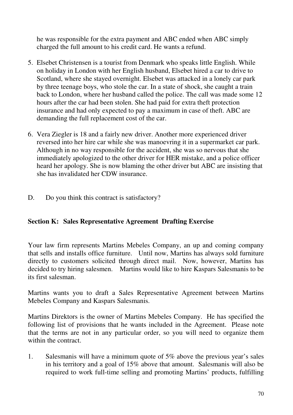he was responsible for the extra payment and ABC ended when ABC simply charged the full amount to his credit card. He wants a refund.

- 5. Elsebet Christensen is a tourist from Denmark who speaks little English. While on holiday in London with her English husband, Elsebet hired a car to drive to Scotland, where she stayed overnight. Elsebet was attacked in a lonely car park by three teenage boys, who stole the car. In a state of shock, she caught a train back to London, where her husband called the police. The call was made some 12 hours after the car had been stolen. She had paid for extra theft protection insurance and had only expected to pay a maximum in case of theft. ABC are demanding the full replacement cost of the car.
- 6. Vera Ziegler is 18 and a fairly new driver. Another more experienced driver reversed into her hire car while she was manoevring it in a supermarket car park. Although in no way responsible for the accident, she was so nervous that she immediately apologized to the other driver for HER mistake, and a police officer heard her apology. She is now blaming the other driver but ABC are insisting that she has invalidated her CDW insurance.
- D. Do you think this contract is satisfactory?

# **Section K: Sales Representative Agreement Drafting Exercise**

Your law firm represents Martins Mebeles Company, an up and coming company that sells and installs office furniture. Until now, Martins has always sold furniture directly to customers solicited through direct mail. Now, however, Martins has decided to try hiring salesmen. Martins would like to hire Kaspars Salesmanis to be its first salesman.

Martins wants you to draft a Sales Representative Agreement between Martins Mebeles Company and Kaspars Salesmanis.

Martins Direktors is the owner of Martins Mebeles Company. He has specified the following list of provisions that he wants included in the Agreement. Please note that the terms are not in any particular order, so you will need to organize them within the contract.

1. Salesmanis will have a minimum quote of 5% above the previous year's sales in his territory and a goal of 15% above that amount. Salesmanis will also be required to work full-time selling and promoting Martins' products, fulfilling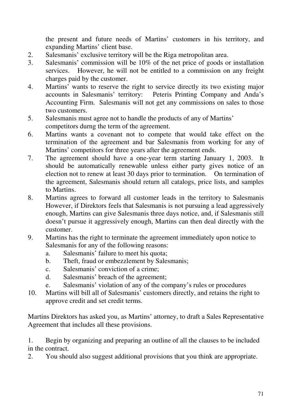the present and future needs of Martins' customers in his territory, and expanding Martins' client base.

- 2. Salesmanis' exclusive territory will be the Riga metropolitan area.
- 3. Salesmanis' commission will be 10% of the net price of goods or installation services. However, he will not be entitled to a commission on any freight charges paid by the customer.
- 4. Martins' wants to reserve the right to service directly its two existing major accounts in Salesmanis' territory: Peteris Printing Company and Anda's Accounting Firm. Salesmanis will not get any commissions on sales to those two customers.
- 5. Salesmanis must agree not to handle the products of any of Martins' competitors durng the term of the agreement.
- 6. Martins wants a covenant not to compete that would take effect on the termination of the agreement and bar Salesmanis from working for any of Martins' competitors for three years after the agreement ends.
- 7. The agreement should have a one-year term starting January 1, 2003. It should be automatically renewable unless either party gives notice of an election not to renew at least 30 days prior to termination. On termination of the agreement, Salesmanis should return all catalogs, price lists, and samples to Martins.
- 8. Martins agrees to forward all customer leads in the territory to Salesmanis However, if Direktors feels that Salesmanis is not pursuing a lead aggressively enough, Martins can give Salesmanis three days notice, and, if Salesmanis still doesn't pursue it aggressively enough, Martins can then deal directly with the customer.
- 9. Martins has the right to terminate the agreement immediately upon notice to Salesmanis for any of the following reasons:
	- a. Salesmanis' failure to meet his quota;
	- b. Theft, fraud or embezzlement by Salesmanis;
	- c. Salesmanis' conviction of a crime;
	- d. Salesmanis' breach of the agreement;
	- e. Salesmanis' violation of any of the company's rules or procedures
- 10. Martins will bill all of Salesmanis' customers directly, and retains the right to approve credit and set credit terms.

Martins Direktors has asked you, as Martins' attorney, to draft a Sales Representative Agreement that includes all these provisions.

1. Begin by organizing and preparing an outline of all the clauses to be included in the contract.

2. You should also suggest additional provisions that you think are appropriate.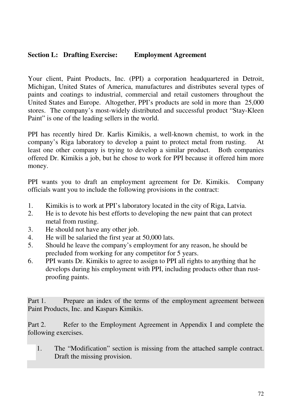# **Section L: Drafting Exercise: Employment Agreement**

Your client, Paint Products, Inc. (PPI) a corporation headquartered in Detroit, Michigan, United States of America, manufactures and distributes several types of paints and coatings to industrial, commercial and retail customers throughout the United States and Europe. Altogether, PPI's products are sold in more than 25,000 stores. The company's most-widely distributed and successful product "Stay-Kleen Paint" is one of the leading sellers in the world.

PPI has recently hired Dr. Karlis Kimikis, a well-known chemist, to work in the company's Riga laboratory to develop a paint to protect metal from rusting. least one other company is trying to develop a similar product. Both companies offered Dr. Kimikis a job, but he chose to work for PPI because it offered him more money.

PPI wants you to draft an employment agreement for Dr. Kimikis. Company officials want you to include the following provisions in the contract:

- 1. Kimikis is to work at PPI's laboratory located in the city of Riga, Latvia.
- 2. He is to devote his best efforts to developing the new paint that can protect metal from rusting.
- 3. He should not have any other job.
- 4. He will be salaried the first year at 50,000 lats.
- 5. Should he leave the company's employment for any reason, he should be precluded from working for any competitor for 5 years.
- 6. PPI wants Dr. Kimikis to agree to assign to PPI all rights to anything that he develops during his employment with PPI, including products other than rustproofing paints.

Part 1. Prepare an index of the terms of the employment agreement between Paint Products, Inc. and Kaspars Kimikis.

Part 2. Refer to the Employment Agreement in Appendix I and complete the following exercises.

1. The "Modification" section is missing from the attached sample contract. Draft the missing provision.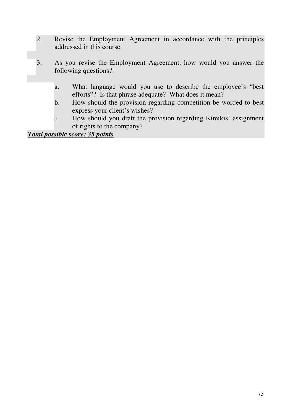- 2. Revise the Employment Agreement in accordance with the principles addressed in this course.
- 3. As you revise the Employment Agreement, how would you answer the following questions?:
	- a. What language would you use to describe the employee's "best efforts"? Is that phrase adequate? What does it mean?
	- b. How should the provision regarding competition be worded to best express your client's wishes?
	- c. How should you draft the provision regarding Kimikis' assignment of rights to the company?

*Total possible score: 35 points*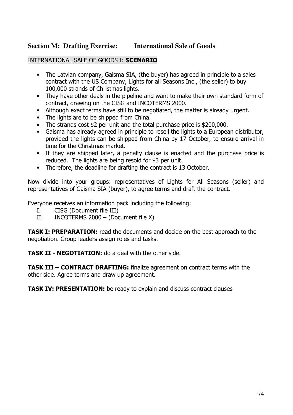#### **Section M: Drafting Exercise: International Sale of Goods**

# INTERNATIONAL SALE OF GOODS I: SCENARIO

- The Latvian company, Gaisma SIA, (the buyer) has agreed in principle to a sales contract with the US Company, Lights for all Seasons Inc., (the seller) to buy 100,000 strands of Christmas lights.
- They have other deals in the pipeline and want to make their own standard form of contract, drawing on the CISG and INCOTERMS 2000.
- Although exact terms have still to be negotiated, the matter is already urgent.
- The lights are to be shipped from China.
- The strands cost \$2 per unit and the total purchase price is \$200,000.
- Gaisma has already agreed in principle to resell the lights to a European distributor, provided the lights can be shipped from China by 17 October, to ensure arrival in time for the Christmas market.
- If they are shipped later, a penalty clause is enacted and the purchase price is reduced. The lights are being resold for \$3 per unit.
- Therefore, the deadline for drafting the contract is 13 October.

Now divide into your groups: representatives of Lights for All Seasons (seller) and representatives of Gaisma SIA (buyer), to agree terms and draft the contract.

Everyone receives an information pack including the following:

- CISG (Document file III) Ι.
- INCOTERMS 2000 (Document file X)  $II.$

**TASK I: PREPARATION:** read the documents and decide on the best approach to the negotiation. Group leaders assign roles and tasks.

**TASK II - NEGOTIATION:** do a deal with the other side.

**TASK III - CONTRACT DRAFTING:** finalize agreement on contract terms with the other side. Agree terms and draw up agreement.

**TASK IV: PRESENTATION:** be ready to explain and discuss contract clauses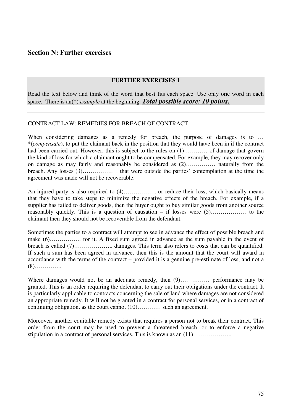# **Section N: Further exercises**

#### **FURTHER EXERCISES 1**

Read the text below and think of the word that best fits each space. Use only **one** word in each space. There is an(\*) *example* at the beginning. *Total possible score: 10 points.*

#### CONTRACT LAW: REMEDIES FOR BREACH OF CONTRACT

When considering damages as a remedy for breach, the purpose of damages is to ... \*(*compensate*), to put the claimant back in the position that they would have been in if the contract had been carried out. However, this is subject to the rules on  $(1)$ ……… of damage that govern the kind of loss for which a claimant ought to be compensated. For example, they may recover only on damage as may fairly and reasonably be considered as (2)…………… naturally from the breach. Any losses (3)……………… that were outside the parties' contemplation at the time the agreement was made will not be recoverable.

An injured party is also required to  $(4)$ ……………... or reduce their loss, which basically means that they have to take steps to minimize the negative effects of the breach. For example, if a supplier has failed to deliver goods, then the buyer ought to buy similar goods from another source reasonably quickly. This is a question of causation – if losses were (5)……………… to the claimant then they should not be recoverable from the defendant.

Sometimes the parties to a contract will attempt to see in advance the effect of possible breach and make (6)……………. for it. A fixed sum agreed in advance as the sum payable in the event of breach is called (7)………………………. damages. This term also refers to costs that can be quantified. If such a sum has been agreed in advance, then this is the amount that the court will award in accordance with the terms of the contract – provided it is a genuine pre-estimate of loss, and not a (8)…………..

Where damages would not be an adequate remedy, then  $(9)$ ................. performance may be granted. This is an order requiring the defendant to carry out their obligations under the contract. It is particularly applicable to contracts concerning the sale of land where damages are not considered an appropriate remedy. It will not be granted in a contract for personal services, or in a contract of continuing obligation, as the court cannot (10)………… such an agreement.

Moreover, another equitable remedy exists that requires a person not to break their contract. This order from the court may be used to prevent a threatened breach, or to enforce a negative stipulation in a contract of personal services. This is known as an  $(11)$ …………………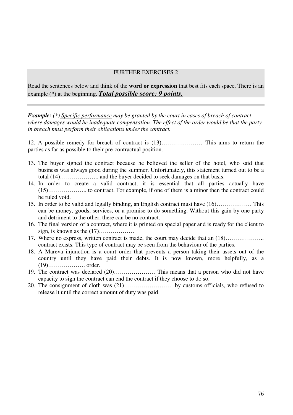Read the sentences below and think of the **word or expression** that best fits each space. There is an example (\*) at the beginning. *Total possible score: 9 points.*

*Example: (\*) Specific performance may be granted by the court in cases of breach of contract where damages would be inadequate compensation. The effect of the order would be that the party in breach must perform their obligations under the contract.*

12. A possible remedy for breach of contract is (13)………………… This aims to return the parties as far as possible to their pre-contractual position.

- 13. The buyer signed the contract because he believed the seller of the hotel, who said that business was always good during the summer. Unfortunately, this statement turned out to be a total (14)……………….. and the buyer decided to seek damages on that basis.
- 14. In order to create a valid contract, it is essential that all parties actually have (15)……………….. to contract. For example, if one of them is a minor then the contract could be ruled void.
- 15. In order to be valid and legally binding, an English contract must have (16)……………… This can be money, goods, services, or a promise to do something. Without this gain by one party and detriment to the other, there can be no contract.
- 16. The final version of a contract, where it is printed on special paper and is ready for the client to sign, is known as the (17)………………
- 17. Where no express, written contract is made, the court may decide that an (18)……………….. contract exists. This type of contract may be seen from the behaviour of the parties.
- 18. A Mareva injunction is a court order that prevents a person taking their assets out of the country until they have paid their debts. It is now known, more helpfully, as a (19)………………. order.
- 19. The contract was declared (20)………………… This means that a person who did not have capacity to sign the contract can end the contract if they choose to do so.
- 20. The consignment of cloth was (21)……………………. by customs officials, who refused to release it until the correct amount of duty was paid.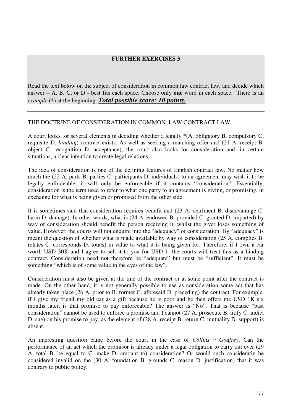Read the text below on the subject of consideration in common law contract law, and decide which answer – A, B, C, or D - best fits each space. Choose only **one** word in each space. There is an *example* (\*) at the beginning. *Total possible score: 10 points.*

#### THE DOCTRINE OF CONSIDERATION IN COMMON LAW CONTRACT LAW

A court looks for several elements in deciding whether a legally \*(A. obligatory B. compulsory C. requisite D. *binding*) contract exists. As well as seeking a matching offer and (21 A. receipt B. object C. recognition D. acceptance), the court also looks for consideration and, in certain situations, a clear intention to create legal relations.

The idea of consideration is one of the defining features of English contract law. No matter how much the (22 A. parts B. parties C. participants D. individuals) to an agreement may wish it to be legally enforceable, it will only be enforceable if it contains "consideration". Essentially, consideration is the term used to refer to what one party to an agreement is giving, or promising, in exchange for what is being given or promised from the other side.

It is sometimes said that consideration requires benefit and (23 A. detriment B. disadvantage C. harm D. damage). In other words, what is (24 A. endowed B. provided C. granted D. imparted) by way of consideration should benefit the person receiving it, whilst the giver loses something of value. However, the courts will not enquire into the "adequacy" of consideration. By "adequacy" is meant the question of whether what is made available by way of consideration (25 A. complies B. relates C. corresponds D. totals) in value to what it is being given for. Therefore, if I own a car worth USD 30K and I agree to sell it to you for USD 1, the courts will treat this as a binding contract. Consideration need not therefore be "adequate" but must be "sufficient". It must be something "which is of some value in the eyes of the law".

Consideration must also be given at the tme of the contract or at some point after the contract is made. On the other hand, it is not generally possible to use as consideration some act that has already taken place (26 A. prior to B. former C. aforesaid D. preceding) the contract. For example, if I give my friend my old car as a gift because he is poor and he then offers me USD 1K six months later, is that promise to pay enforceable? The answer is "No". That is because "past consideration" cannot be used to enforce a promise and I cannot (27 A. prosecute B. litify C. indict D. sue) on his promise to pay, as the element of (28 A. receipt B. return C. mutuality D. support) is absent.

An interesting question came before the court in the case of *Collins v Godfrey*. Can the performance of an act which the promisor is already under a legal obligation to carry out ever (29 A. total B. be equal to C. make D. amount to) consideration? Or would such consideratin be considered invalid on the (30 A. foundation B. grounds C. reason D. justification) that it was contrary to public policy.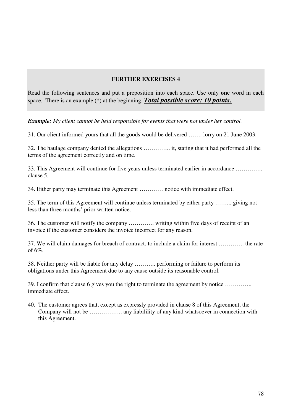Read the following sentences and put a preposition into each space. Use only **one** word in each space. There is an example (\*) at the beginning. *Total possible score: 10 points.*

*Example: My client cannot be held responsible for events that were not under her control.*

31. Our client informed yours that all the goods would be delivered ……. lorry on 21 June 2003.

32. The haulage company denied the allegations ………….. it, stating that it had performed all the terms of the agreement correctly and on time.

33. This Agreement will continue for five years unless terminated earlier in accordance ………….. clause 5.

34. Either party may terminate this Agreement ………… notice with immediate effect.

35. The term of this Agreement will continue unless terminated by either party ……... giving not less than three months' prior written notice.

36. The customer will notify the company …………. writing within five days of receipt of an invoice if the customer considers the invoice incorrect for any reason.

37. We will claim damages for breach of contract, to include a claim for interest …………. the rate of 6%.

38. Neither party will be liable for any delay ……….. performing or failure to perform its obligations under this Agreement due to any cause outside its reasonable control.

39. I confirm that clause 6 gives you the right to terminate the agreement by notice ………….. immediate effect.

40. The customer agrees that, except as expressly provided in clause 8 of this Agreement, the Company will not be …………….. any liabilility of any kind whatsoever in connection with this Agreement.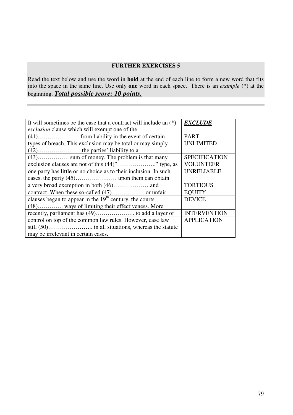Read the text below and use the word in **bold** at the end of each line to form a new word that fits into the space in the same line. Use only **one** word in each space. There is an *example* (\*) at the beginning. *Total possible score: 10 points.*

| It will sometimes be the case that a contract will include an $(*)$ | <b>EXCLUDE</b>       |
|---------------------------------------------------------------------|----------------------|
| <i>exclusion</i> clause which will exempt one of the                |                      |
|                                                                     | <b>PART</b>          |
| types of breach. This exclusion may be total or may simply          | UNLIMITED            |
|                                                                     |                      |
| $(43)$ sum of money. The problem is that many                       | <b>SPECIFICATION</b> |
| exclusion clauses are not of this (44)"" type, as                   | <b>VOLUNTEER</b>     |
| one party has little or no choice as to their inclusion. In such    | <b>UNRELIABLE</b>    |
|                                                                     |                      |
|                                                                     | <b>TORTIOUS</b>      |
|                                                                     | <b>EQUITY</b>        |
| clauses began to appear in the $19th$ century, the courts           | <b>DEVICE</b>        |
| (48) ways of limiting their effectiveness. More                     |                      |
|                                                                     | <b>INTERVENTION</b>  |
| control on top of the common law rules. However, case law           | <b>APPLICATION</b>   |
|                                                                     |                      |
| may be irrelevant in certain cases.                                 |                      |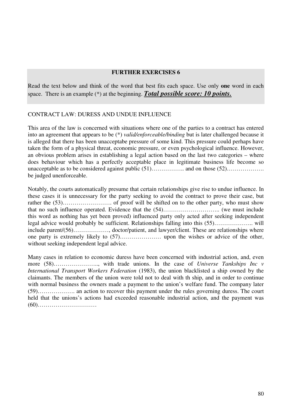Read the text below and think of the word that best fits each space. Use only **one** word in each space. There is an example (\*) at the beginning. *Total possible score: 10 points.*

#### CONTRACT LAW: DURESS AND UNDUE INFLUENCE

This area of the law is concerned with situations where one of the parties to a contract has entered into an agreement that appears to be (\*) *valid/enforceable/binding* but is later challenged because it is alleged that there has been unacceptabe pressure of some kind. This pressure could perhaps have taken the form of a physical threat, economic pressure, or even psychological influence. However, an obvious problem arises in establishing a legal action based on the last two categories – where does behaviour which has a perfectly acceptable place in legitimate business life become so unacceptable as to be considered against public (51)…………….. and on those (52)………………. be judged unenforceable.

Notably, the courts automatically presume that certain relationships give rise to undue influence. In these cases it is unnecessary for the party seeking to avoid the contract to prove their case, but rather the (53)……………………. of proof will be shifted on to the other party, who must show that no such influence operated. Evidence that the (54)……………………….. (we must include this word as nothing has yet been proved) influenced party only acted after seeking independent legal advice would probably be sufficient. Relationships falling into this (55)……………….. will include parent/(56)……………, doctor/patient, and lawyer/client. These are relationships where one party is extremely likely to (57)………………… upon the wishes or advice of the other, without seeking independent legal advice.

Many cases in relation to economic duress have been concerned with industrial action, and, even more (58)………………….., with trade unions. In the case of *Universe Tankships Inc v International Transport Workers Federation* (1983), the union blacklisted a ship owned by the claimants. The members of the union were told not to deal with th ship, and in order to continue with normal business the owners made a payment to the union's welfare fund. The company later (59)………………. an action to recover this payment under the rules governing duress. The court held that the unions's actions had exceeded reasonable industrial action, and the payment was (60)…………………………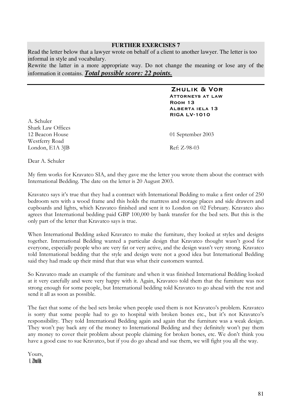Read the letter below that a lawyer wrote on behalf of a client to another lawyer. The letter is too informal in style and vocabulary.

Rewrite the latter in a more appropriate way. Do not change the meaning or lose any of the information it contains. *Total possible score: 22 points.*

#### ZHULIK & VOR **ATTORNEYS AT LAW** ROOM 13 ALBERTA IELA 13 **RIGA LV-1010**

A. Schuler Shark Law Offices 12 Beacon House 01 September 2003 Westferry Road "#\$ % ! &'()\*(

Dear A. Schuler

My firm works for Kravatco SIA, and they gave me the letter you wrote them about the contract with International Bedding. The date on the letter is 20 August 2003.

Kravatco says it's true that they had a contract with International Bedding to make a first order of 250 bedroom sets with a wood frame and this holds the mattress and storage places and side drawers and cupboards and lights, which Kravatco finished and sent it to London on 02 February. Kravatco also agrees that International bedding paid GBP 100,000 by bank transfer for the bed sets. But this is the only part of the letter that Kravatco says is true.

When International Bedding asked Kravatco to make the furniture, they looked at styles and designs together. International Bedding wanted a particular design that Kravatco thought wasn't good for everyone, especially people who are very fat or very active, and the design wasn't very strong. Kravatco told International bedding that the style and design were not a good idea but International Bedding said they had made up their mind that that was what their customers wanted.

So Kravatco made an example of the furniture and when it was finished International Bedding looked at it very carefully and were very happy with it. Again, Kravatco told them that the furniture was not strong enough for some people, but International bedding told Kravatco to go ahead with the rest and send it all as soon as possible.

The fact that some of the bed sets broke when people used them is not Kravatco's problem. Kravatco is sorry that some people had to go to hospital with broken bones etc., but it's not Kravatco's responsibility. They told International Bedding again and again that the furniture was a weak design. They won't pay back any of the money to International Bedding and they definitely won't pay them any money to cover their problem about people claiming for broken bones, etc. We don't think you have a good case to sue Kravatco, but if you do go ahead and sue them, we will fight you all the way.

Yours, l. Zhulik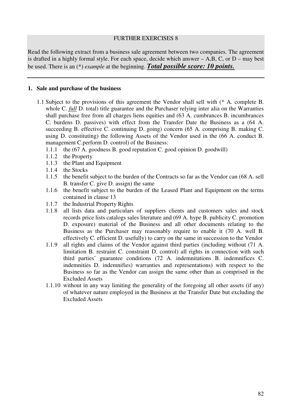Read the following extract from a business sale agreement between two companies. The agreement is drafted in a highly formal style. For each space, decide which answer – A,B, C, or D – may best be used. There is an (\*) *example* at the beginning. *Total possible score: 10 points.*

#### **1. Sale and purchase of the business**

- 1.1 Subject to the provisions of this agreement the Vendor shall sell with (\* A. complete B. whole C. *full* D. total) title guarantee and the Purchaser relying inter alia on the Warranties shall purchase free from all charges liens equities and (63 A. cumbrances B. incumbrances C. burdens D. passives) with effect from the Transfer Date the Business as a (64 A. succeeding B. effective C. continuing D. going) concern (65 A. comprising B. making C. using D. constituting) the following Assets of the Vendor used in the (66 A. conduct B. management C.perform D. control) of the Business:
	- 1.1.1 the (67 A. goodness B. good reputation C. good opinion D. goodwill)
	- 1.1.2 the Property
	- 1.1.3 the Plant and Equipment
	- 1.1.4 the Stocks
	- 1.1.5 the benefit subject to the burden of the Contracts so far as the Vendor can (68 A. sell B. transfer C. give D. assign) the same
	- 1.1.6 the benefit subject to the burden of the Leased Plant and Equipment on the terms contained in clause 13
	- 1.1.7 the Industrial Property Rights
	- 1.1.8 all lists data and particulars of suppliers clients and customers sales and stock records price lists catalogs sales literature and (69 A. hype B. publicity C. promotion D. exposure) material of the Business and all other documents relating to the Business as the Purchaser may reasonably require to enable it (70 A. well B. effectively C. efficient D. usefully) to carry on the same in succession to the Vendor
	- 1.1.9 all rights and claims of the Vendor against third parties (including without (71 A. limitation B. restraint C. constraint D. control) all rights in connection with such third parties' guarantee conditions (72 A. indemnitations B. indemnifices C. indemnities D. indemnifies) warranties and representations) with respect to the Business so far as the Vendor can assign the same other than as comprised in the Excluded Assets
	- 1.1.10 without in any way limiting the generality of the foregoing all other assets (if any) of whatever nature employed in the Business at the Transfer Date but excluding the Excluded Assets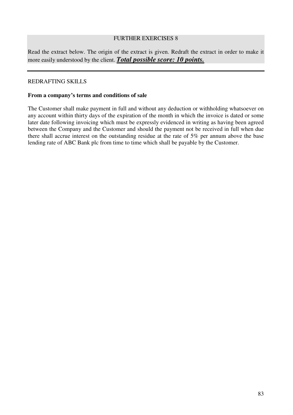Read the extract below. The origin of the extract is given. Redraft the extract in order to make it more easily understood by the client. *Total possible score: 10 points.*

### REDRAFTING SKILLS

#### **From a company's terms and conditions of sale**

The Customer shall make payment in full and without any deduction or withholding whatsoever on any account within thirty days of the expiration of the month in which the invoice is dated or some later date following invoicing which must be expressly evidenced in writing as having been agreed between the Company and the Customer and should the payment not be received in full when due there shall accrue interest on the outstanding residue at the rate of 5% per annum above the base lending rate of ABC Bank plc from time to time which shall be payable by the Customer.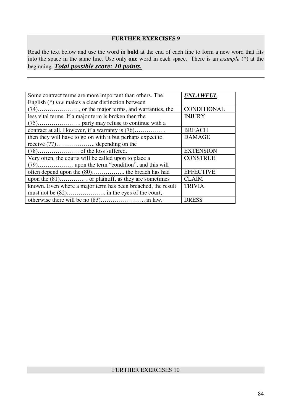Read the text below and use the word in **bold** at the end of each line to form a new word that fits into the space in the same line. Use only **one** word in each space. There is an *example* (\*) at the beginning. *Total possible score: 10 points.*

| Some contract terms are more important than others. The      | <b>UNLAWFUL</b>  |
|--------------------------------------------------------------|------------------|
| English (*) law makes a clear distinction between            |                  |
|                                                              | CONDITIONAL      |
| less vital terms. If a major term is broken then the         | <b>INJURY</b>    |
|                                                              |                  |
| contract at all. However, if a warranty is (76)              | <b>BREACH</b>    |
| then they will have to go on with it but perhaps expect to   | <b>DAMAGE</b>    |
| receive $(77)$ depending on the                              |                  |
|                                                              | <b>EXTENSION</b> |
| Very often, the courts will be called upon to place a        | <b>CONSTRUE</b>  |
|                                                              |                  |
| often depend upon the (80) the breach has had                | <b>EFFECTIVE</b> |
| upon the (81), or plaintiff, as they are sometimes           | <b>CLAIM</b>     |
| known. Even where a major term has been breached, the result | <b>TRIVIA</b>    |
|                                                              |                  |
|                                                              | <b>DRESS</b>     |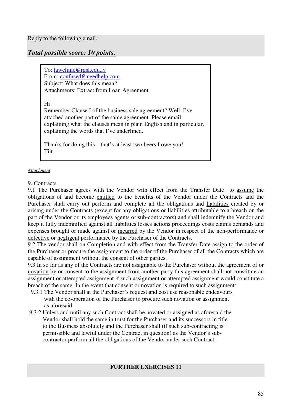# *Total possible score: 10 points.*

To: lawclinic@rgsl.edu.lv From: confused@needhelp.com Subject: What does this mean? Attachments: Extract from Loan Agreement

Hi

Remember Clause I of the business sale agreement? Well, I've attached another part of the same agreement. Please email explaining what the clauses mean in plain English and in particular, explaining the words that I've underlined.

Thanks for doing this – that's at least two beers I owe you! **Tiit** 

#### *Attachment*

#### 9. Contracts

9.1 The Purchaser agrees with the Vendor with effect from the Transfer Date to assume the obligations of and become entitled to the benefits of the Vendor under the Contracts and the Purchaser shall carry out perform and complete all the obligations and liabilities created by or arising under the Contracts (except for any obligations or liabilities attributable to a breach on the part of the Vendor or its employees agents or sub-contractors) and shall indemnify the Vendor and keep it fully indemnified against all liabilities losses actions proceedings costs claims demands and expenses brought or made against or incurred by the Vendor in respect of the non-performance or defective or negligent performance by the Purchaser of the Contracts.

9.2 The vendor shall on Completion and with effect from the Transfer Date assign to the order of the Purchaser or procure the assignment to the order of the Purchaser of all the Contracts which are capable of assignment without the consent of other parties.

9.3 In so far as any of the Contracts are not assignable to the Purchaser without the agreement of or novation by or consent to the assignment from another party this agreement shall not constitute an assignment or attempted assignment if such assignment or attempted assignment would constitute a breach of the same. In the event that consent or novation is required to such assignment:

- 9.3.1 The Vendor shall at the Purchaser's request and cost use reasonable endeavours with the co-operation of the Purchaser to procure such novation or assignment as aforesaid
- 9.3.2 Unless and until any such Contract shall be novated or assigned as aforesaid the Vendor shall hold the same in trust for the Purchaser and its successors in title to the Business absolutely and the Purchaser shall (if such sub-contracting is permissible and lawful under the Contract in question) as the Vendor's subcontractor perform all the obligations of the Vendor under such Contract.

### **FURTHER EXERCISES 11**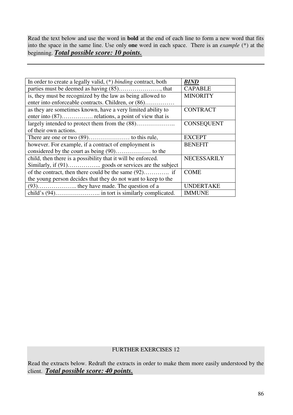Read the text below and use the word in **bold** at the end of each line to form a new word that fits into the space in the same line. Use only **one** word in each space. There is an *example* (\*) at the beginning. *Total possible score: 10 points.*

| In order to create a legally valid, $(*)$ binding contract, both | <b>BIND</b>        |
|------------------------------------------------------------------|--------------------|
|                                                                  | <b>CAPABLE</b>     |
| is, they must be recognized by the law as being allowed to       | <b>MINORITY</b>    |
| enter into enforceable contracts. Children, or (86)              |                    |
| as they are sometimes known, have a very limited ability to      | <b>CONTRACT</b>    |
|                                                                  |                    |
|                                                                  | <b>CONSEQUENT</b>  |
| of their own actions.                                            |                    |
|                                                                  | <b>EXCEPT</b>      |
| however. For example, if a contract of employment is             | <b>BENEFIT</b>     |
|                                                                  |                    |
| child, then there is a possibility that it will be enforced.     | <b>NECESSARILY</b> |
|                                                                  |                    |
|                                                                  | <b>COME</b>        |
| the young person decides that they do not want to keep to the    |                    |
|                                                                  | <b>UNDERTAKE</b>   |
|                                                                  | <b>IMMUNE</b>      |

## FURTHER EXERCISES 12

Read the extracts below. Redraft the extracts in order to make them more easily understood by the client. *Total possible score: 40 points.*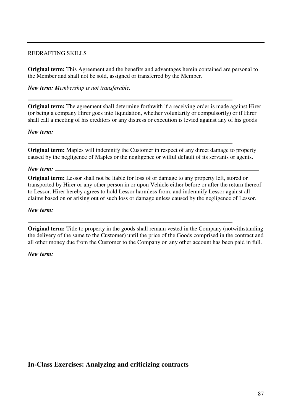### REDRAFTING SKILLS

**Original term:** This Agreement and the benefits and advantages herein contained are personal to the Member and shall not be sold, assigned or transferred by the Member.

*New term: Membership is not transferable.*

**Original term:** The agreement shall determine forthwith if a receiving order is made against Hirer (or being a company Hirer goes into liquidation, whether voluntarily or compulsorily) or if Hirer shall call a meeting of his creditors or any distress or execution is levied against any of his goods

#### *New term:*

**Original term:** Maples will indemnify the Customer in respect of any direct damage to property caused by the negligence of Maples or the negligence or wilful default of its servants or agents.

#### *New term:*

**Original term:** Lessor shall not be liable for loss of or damage to any property left, stored or transported by Hirer or any other person in or upon Vehicle either before or after the return thereof to Lessor. Hirer hereby agrees to hold Lessor harmless from, and indemnify Lessor against all claims based on or arising out of such loss or damage unless caused by the negligence of Lessor.

#### *New term:*

**Original term:** Title to property in the goods shall remain vested in the Company (notwithstanding the delivery of the same to the Customer) until the price of the Goods comprised in the contract and all other money due from the Customer to the Company on any other account has been paid in full.

#### *New term:*

**In-Class Exercises: Analyzing and criticizing contracts**